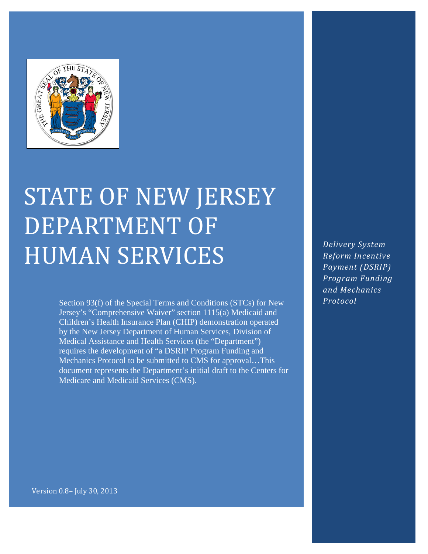

# STATE OF NEW JERSEY DEPARTMENT OF HUMAN SERVICES

Section 93(f) of the Special Terms and Conditions (STCs) for New Jersey's "Comprehensive Waiver" section 1115(a) Medicaid and Children's Health Insurance Plan (CHIP) demonstration operated by the New Jersey Department of Human Services, Division of Medical Assistance and Health Services (the "Department") requires the development of "a DSRIP Program Funding and Mechanics Protocol to be submitted to CMS for approval…This document represents the Department's initial draft to the Centers for Medicare and Medicaid Services (CMS).

*Delivery System Reform Incentive Payment (DSRIP) Program Funding and Mechanics Protocol*

Version 0.8– July 30, 2013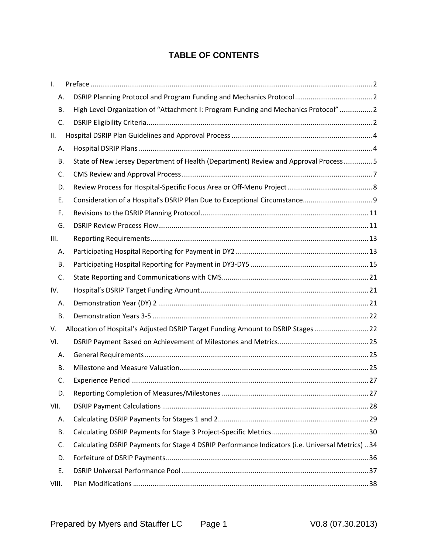# **TABLE OF CONTENTS**

| Ι.        |                                                                                                  |  |
|-----------|--------------------------------------------------------------------------------------------------|--|
| Α.        |                                                                                                  |  |
| В.        | High Level Organization of "Attachment I: Program Funding and Mechanics Protocol"  2             |  |
| C.        |                                                                                                  |  |
| ΙΙ.       |                                                                                                  |  |
| Α.        |                                                                                                  |  |
| В.        | State of New Jersey Department of Health (Department) Review and Approval Process5               |  |
| C.        |                                                                                                  |  |
| D.        |                                                                                                  |  |
| Ε.        |                                                                                                  |  |
| F.        |                                                                                                  |  |
| G.        |                                                                                                  |  |
| III.      |                                                                                                  |  |
| Α.        |                                                                                                  |  |
| В.        |                                                                                                  |  |
| C.        |                                                                                                  |  |
| IV.       |                                                                                                  |  |
| Α.        |                                                                                                  |  |
| В.        |                                                                                                  |  |
| V.        | Allocation of Hospital's Adjusted DSRIP Target Funding Amount to DSRIP Stages  22                |  |
| VI.       |                                                                                                  |  |
| А.        |                                                                                                  |  |
| В.        |                                                                                                  |  |
| C.        |                                                                                                  |  |
| D.        |                                                                                                  |  |
| VII.      |                                                                                                  |  |
| Α.        |                                                                                                  |  |
| <b>B.</b> |                                                                                                  |  |
| C.        | Calculating DSRIP Payments for Stage 4 DSRIP Performance Indicators (i.e. Universal Metrics)  34 |  |
| D.        |                                                                                                  |  |
| Ε.        |                                                                                                  |  |
| VIII.     |                                                                                                  |  |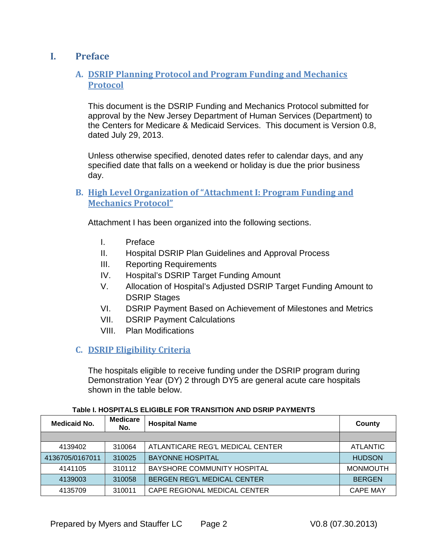# <span id="page-2-1"></span><span id="page-2-0"></span>**I. Preface**

## **A. DSRIP Planning Protocol and Program Funding and Mechanics Protocol**

This document is the DSRIP Funding and Mechanics Protocol submitted for approval by the New Jersey Department of Human Services (Department) to the Centers for Medicare & Medicaid Services. This document is Version 0.8, dated July 29, 2013.

Unless otherwise specified, denoted dates refer to calendar days, and any specified date that falls on a weekend or holiday is due the prior business day.

## <span id="page-2-2"></span>**B. High Level Organization of "Attachment I: Program Funding and Mechanics Protocol"**

Attachment I has been organized into the following sections.

- I. Preface
- II. Hospital DSRIP Plan Guidelines and Approval Process
- III. Reporting Requirements
- IV. Hospital's DSRIP Target Funding Amount
- V. Allocation of Hospital's Adjusted DSRIP Target Funding Amount to DSRIP Stages
- VI. DSRIP Payment Based on Achievement of Milestones and Metrics
- VII. DSRIP Payment Calculations
- VIII. Plan Modifications

## <span id="page-2-3"></span>**C. DSRIP Eligibility Criteria**

The hospitals eligible to receive funding under the DSRIP program during Demonstration Year (DY) 2 through DY5 are general acute care hospitals shown in the table below.

| <b>Medicare</b><br>Medicaid No.<br><b>Hospital Name</b><br>No. |        | County                             |                 |  |
|----------------------------------------------------------------|--------|------------------------------------|-----------------|--|
|                                                                |        |                                    |                 |  |
| 4139402                                                        | 310064 | ATLANTICARE REG'L MEDICAL CENTER   | <b>ATLANTIC</b> |  |
| 4136705/0167011                                                | 310025 | <b>BAYONNE HOSPITAL</b>            | <b>HUDSON</b>   |  |
| 4141105                                                        | 310112 | BAYSHORE COMMUNITY HOSPITAL        | <b>MONMOUTH</b> |  |
| 4139003                                                        | 310058 | <b>BERGEN REG'L MEDICAL CENTER</b> | <b>BERGEN</b>   |  |
| 4135709                                                        | 310011 | CAPE REGIONAL MEDICAL CENTER       | <b>CAPE MAY</b> |  |

#### **Table I. HOSPITALS ELIGIBLE FOR TRANSITION AND DSRIP PAYMENTS**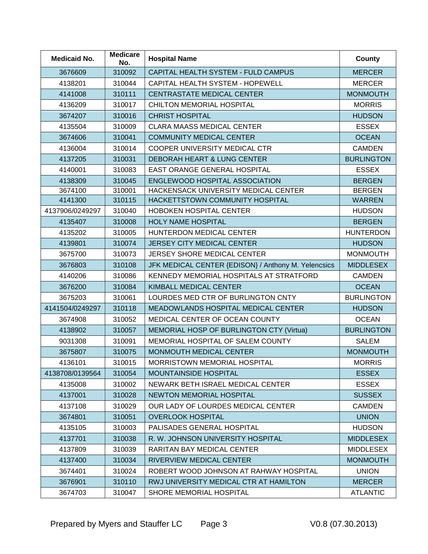| <b>Medicaid No.</b> | <b>Medicare</b><br><b>Hospital Name</b><br>No. |                                                     | County            |
|---------------------|------------------------------------------------|-----------------------------------------------------|-------------------|
| 3676609             | 310092                                         | CAPITAL HEALTH SYSTEM - FULD CAMPUS                 | <b>MERCER</b>     |
| 4138201             | 310044                                         | CAPITAL HEALTH SYSTEM - HOPEWELL                    | <b>MERCER</b>     |
| 4141008             | 310111                                         | CENTRASTATE MEDICAL CENTER                          | <b>MONMOUTH</b>   |
| 4136209             | 310017                                         | CHILTON MEMORIAL HOSPITAL                           | <b>MORRIS</b>     |
| 3674207             | 310016                                         | <b>CHRIST HOSPITAL</b>                              | <b>HUDSON</b>     |
| 4135504             | 310009                                         | <b>CLARA MAASS MEDICAL CENTER</b>                   | <b>ESSEX</b>      |
| 3674606             | 310041                                         | <b>COMMUNITY MEDICAL CENTER</b>                     | <b>OCEAN</b>      |
| 4136004             | 310014                                         | COOPER UNIVERSITY MEDICAL CTR                       | <b>CAMDEN</b>     |
| 4137205             | 310031                                         | DEBORAH HEART & LUNG CENTER                         | <b>BURLINGTON</b> |
| 4140001             | 310083                                         | EAST ORANGE GENERAL HOSPITAL                        | <b>ESSEX</b>      |
| 4138309             | 310045                                         | ENGLEWOOD HOSPITAL ASSOCIATION                      | <b>BERGEN</b>     |
| 3674100             | 310001                                         | HACKENSACK UNIVERSITY MEDICAL CENTER                | <b>BERGEN</b>     |
| 4141300             | 310115                                         | HACKETTSTOWN COMMUNITY HOSPITAL                     | <b>WARREN</b>     |
| 4137906/0249297     | 310040                                         | <b>HOBOKEN HOSPITAL CENTER</b>                      | <b>HUDSON</b>     |
| 4135407             | 310008                                         | <b>HOLY NAME HOSPITAL</b>                           | <b>BERGEN</b>     |
| 4135202             | 310005                                         | HUNTERDON MEDICAL CENTER                            | <b>HUNTERDON</b>  |
| 4139801             | 310074                                         | <b>JERSEY CITY MEDICAL CENTER</b>                   | <b>HUDSON</b>     |
| 3675700             | 310073                                         | JERSEY SHORE MEDICAL CENTER                         | <b>MONMOUTH</b>   |
| 3676803             | 310108                                         | JFK MEDICAL CENTER {EDISON} / Anthony M. Yelencsics | <b>MIDDLESEX</b>  |
| 4140206             | 310086                                         | KENNEDY MEMORIAL HOSPITALS AT STRATFORD             | <b>CAMDEN</b>     |
| 3676200             | 310084                                         | <b>KIMBALL MEDICAL CENTER</b>                       | <b>OCEAN</b>      |
| 3675203             | 310061                                         | LOURDES MED CTR OF BURLINGTON CNTY                  | <b>BURLINGTON</b> |
| 4141504/0249297     | 310118                                         | MEADOWLANDS HOSPITAL MEDICAL CENTER                 | <b>HUDSON</b>     |
| 3674908             | 310052                                         | MEDICAL CENTER OF OCEAN COUNTY                      | <b>OCEAN</b>      |
| 4138902             | 310057                                         | MEMORIAL HOSP OF BURLINGTON CTY (Virtua)            | <b>BURLINGTON</b> |
| 9031308             | 310091                                         | MEMORIAL HOSPITAL OF SALEM COUNTY                   | <b>SALEM</b>      |
| 3675807             | MONMOUTH MEDICAL CENTER<br>310075              |                                                     | <b>MONMOUTH</b>   |
| 4136101             | 310015                                         | MORRISTOWN MEMORIAL HOSPITAL                        | <b>MORRIS</b>     |
| 4138708/0139564     | 310054                                         | <b>MOUNTAINSIDE HOSPITAL</b>                        | <b>ESSEX</b>      |
| 4135008             | 310002                                         | NEWARK BETH ISRAEL MEDICAL CENTER                   | <b>ESSEX</b>      |
| 4137001             | 310028                                         | <b>NEWTON MEMORIAL HOSPITAL</b>                     | <b>SUSSEX</b>     |
| 4137108             | 310029                                         | OUR LADY OF LOURDES MEDICAL CENTER                  |                   |
| 3674801             | 310051                                         | <b>OVERLOOK HOSPITAL</b>                            | <b>UNION</b>      |
| 4135105             | 310003                                         | PALISADES GENERAL HOSPITAL                          | <b>HUDSON</b>     |
| 4137701             | 310038                                         | R. W. JOHNSON UNIVERSITY HOSPITAL                   | <b>MIDDLESEX</b>  |
| 4137809             | 310039                                         | RARITAN BAY MEDICAL CENTER                          | <b>MIDDLESEX</b>  |
| 4137400             | 310034                                         | RIVERVIEW MEDICAL CENTER                            | <b>MONMOUTH</b>   |
| 3674401             | 310024                                         | ROBERT WOOD JOHNSON AT RAHWAY HOSPITAL              | <b>UNION</b>      |
| 3676901             | 310110                                         | RWJ UNIVERSITY MEDICAL CTR AT HAMILTON              | <b>MERCER</b>     |
| 3674703             | 310047                                         | SHORE MEMORIAL HOSPITAL                             | <b>ATLANTIC</b>   |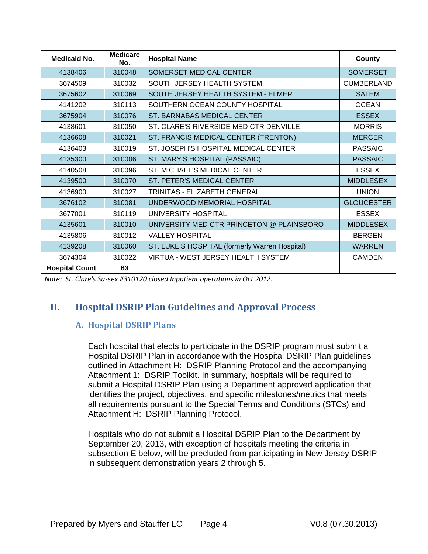| <b>Medicaid No.</b>   | <b>Medicare</b><br>No. | <b>Hospital Name</b>                           | County            |
|-----------------------|------------------------|------------------------------------------------|-------------------|
| 4138406               | 310048                 | SOMERSET MEDICAL CENTER                        | <b>SOMERSET</b>   |
| 3674509               | 310032                 | SOUTH JERSEY HEALTH SYSTEM                     | <b>CUMBERLAND</b> |
| 3675602               | 310069                 | SOUTH JERSEY HEALTH SYSTEM - ELMER             | <b>SALEM</b>      |
| 4141202               | 310113                 | SOUTHERN OCEAN COUNTY HOSPITAL                 | <b>OCEAN</b>      |
| 3675904               | 310076                 | ST. BARNABAS MEDICAL CENTER                    | <b>ESSEX</b>      |
| 4138601               | 310050                 | ST. CLARE'S-RIVERSIDE MED CTR DENVILLE         | <b>MORRIS</b>     |
| 4136608               | 310021                 | ST. FRANCIS MEDICAL CENTER (TRENTON)           | <b>MERCER</b>     |
| 4136403               | 310019                 | ST. JOSEPH'S HOSPITAL MEDICAL CENTER           | <b>PASSAIC</b>    |
| 310006<br>4135300     |                        | ST. MARY'S HOSPITAL (PASSAIC)                  | <b>PASSAIC</b>    |
| 310096<br>4140508     |                        | ST. MICHAEL'S MEDICAL CENTER                   | <b>ESSEX</b>      |
| 310070<br>4139500     |                        | ST. PETER'S MEDICAL CENTER                     | <b>MIDDLESEX</b>  |
| 310027<br>4136900     |                        | TRINITAS - ELIZABETH GENERAL                   | <b>UNION</b>      |
| 3676102               | 310081                 | UNDERWOOD MEMORIAL HOSPITAL                    | <b>GLOUCESTER</b> |
| 3677001               | 310119                 | UNIVERSITY HOSPITAL                            | <b>ESSEX</b>      |
| 310010<br>4135601     |                        | UNIVERSITY MED CTR PRINCETON @ PLAINSBORO      | <b>MIDDLESEX</b>  |
| 4135806               | 310012                 | <b>VALLEY HOSPITAL</b>                         | <b>BERGEN</b>     |
| 4139208               | 310060                 | ST. LUKE'S HOSPITAL (formerly Warren Hospital) | <b>WARREN</b>     |
| 3674304               | 310022                 | VIRTUA - WEST JERSEY HEALTH SYSTEM             | <b>CAMDEN</b>     |
| <b>Hospital Count</b> | 63                     |                                                |                   |

<span id="page-4-0"></span>*Note: St. Clare's Sussex #310120 closed Inpatient operations in Oct 2012.*

# <span id="page-4-1"></span>**II. Hospital DSRIP Plan Guidelines and Approval Process**

## **A. Hospital DSRIP Plans**

Each hospital that elects to participate in the DSRIP program must submit a Hospital DSRIP Plan in accordance with the Hospital DSRIP Plan guidelines outlined in Attachment H: DSRIP Planning Protocol and the accompanying Attachment 1: DSRIP Toolkit. In summary, hospitals will be required to submit a Hospital DSRIP Plan using a Department approved application that identifies the project, objectives, and specific milestones/metrics that meets all requirements pursuant to the Special Terms and Conditions (STCs) and Attachment H: DSRIP Planning Protocol.

Hospitals who do not submit a Hospital DSRIP Plan to the Department by September 20, 2013, with exception of hospitals meeting the criteria in subsection E below, will be precluded from participating in New Jersey DSRIP in subsequent demonstration years 2 through 5.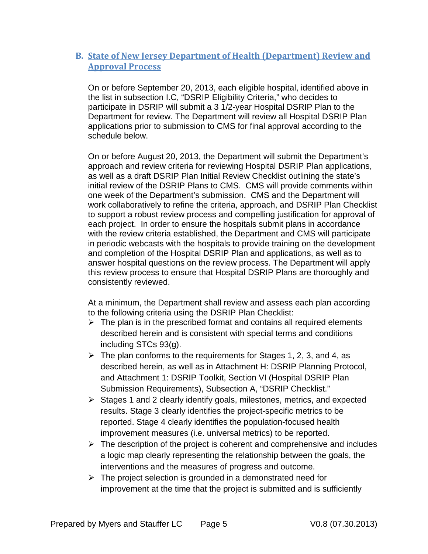## <span id="page-5-0"></span>**B. State of New Jersey Department of Health (Department) Review and Approval Process**

On or before September 20, 2013, each eligible hospital, identified above in the list in subsection I.C, "DSRIP Eligibility Criteria," who decides to participate in DSRIP will submit a 3 1/2-year Hospital DSRIP Plan to the Department for review. The Department will review all Hospital DSRIP Plan applications prior to submission to CMS for final approval according to the schedule below.

On or before August 20, 2013, the Department will submit the Department's approach and review criteria for reviewing Hospital DSRIP Plan applications, as well as a draft DSRIP Plan Initial Review Checklist outlining the state's initial review of the DSRIP Plans to CMS. CMS will provide comments within one week of the Department's submission. CMS and the Department will work collaboratively to refine the criteria, approach, and DSRIP Plan Checklist to support a robust review process and compelling justification for approval of each project. In order to ensure the hospitals submit plans in accordance with the review criteria established, the Department and CMS will participate in periodic webcasts with the hospitals to provide training on the development and completion of the Hospital DSRIP Plan and applications, as well as to answer hospital questions on the review process. The Department will apply this review process to ensure that Hospital DSRIP Plans are thoroughly and consistently reviewed.

At a minimum, the Department shall review and assess each plan according to the following criteria using the DSRIP Plan Checklist:

- $\triangleright$  The plan is in the prescribed format and contains all required elements described herein and is consistent with special terms and conditions including STCs 93(g).
- $\triangleright$  The plan conforms to the requirements for Stages 1, 2, 3, and 4, as described herein, as well as in Attachment H: DSRIP Planning Protocol, and Attachment 1: DSRIP Toolkit, Section VI (Hospital DSRIP Plan Submission Requirements), Subsection A, "DSRIP Checklist."
- $\triangleright$  Stages 1 and 2 clearly identify goals, milestones, metrics, and expected results. Stage 3 clearly identifies the project-specific metrics to be reported. Stage 4 clearly identifies the population-focused health improvement measures (i.e. universal metrics) to be reported.
- $\triangleright$  The description of the project is coherent and comprehensive and includes a logic map clearly representing the relationship between the goals, the interventions and the measures of progress and outcome.
- $\triangleright$  The project selection is grounded in a demonstrated need for improvement at the time that the project is submitted and is sufficiently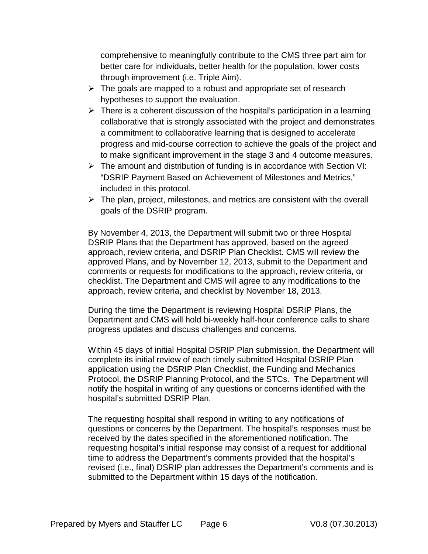comprehensive to meaningfully contribute to the CMS three part aim for better care for individuals, better health for the population, lower costs through improvement (i.e. Triple Aim).

- $\triangleright$  The goals are mapped to a robust and appropriate set of research hypotheses to support the evaluation.
- $\triangleright$  There is a coherent discussion of the hospital's participation in a learning collaborative that is strongly associated with the project and demonstrates a commitment to collaborative learning that is designed to accelerate progress and mid-course correction to achieve the goals of the project and to make significant improvement in the stage 3 and 4 outcome measures.
- $\triangleright$  The amount and distribution of funding is in accordance with Section VI: "DSRIP Payment Based on Achievement of Milestones and Metrics," included in this protocol.
- $\triangleright$  The plan, project, milestones, and metrics are consistent with the overall goals of the DSRIP program.

By November 4, 2013, the Department will submit two or three Hospital DSRIP Plans that the Department has approved, based on the agreed approach, review criteria, and DSRIP Plan Checklist. CMS will review the approved Plans, and by November 12, 2013, submit to the Department and comments or requests for modifications to the approach, review criteria, or checklist. The Department and CMS will agree to any modifications to the approach, review criteria, and checklist by November 18, 2013.

During the time the Department is reviewing Hospital DSRIP Plans, the Department and CMS will hold bi-weekly half-hour conference calls to share progress updates and discuss challenges and concerns.

Within 45 days of initial Hospital DSRIP Plan submission, the Department will complete its initial review of each timely submitted Hospital DSRIP Plan application using the DSRIP Plan Checklist, the Funding and Mechanics Protocol, the DSRIP Planning Protocol, and the STCs. The Department will notify the hospital in writing of any questions or concerns identified with the hospital's submitted DSRIP Plan.

The requesting hospital shall respond in writing to any notifications of questions or concerns by the Department. The hospital's responses must be received by the dates specified in the aforementioned notification. The requesting hospital's initial response may consist of a request for additional time to address the Department's comments provided that the hospital's revised (i.e., final) DSRIP plan addresses the Department's comments and is submitted to the Department within 15 days of the notification.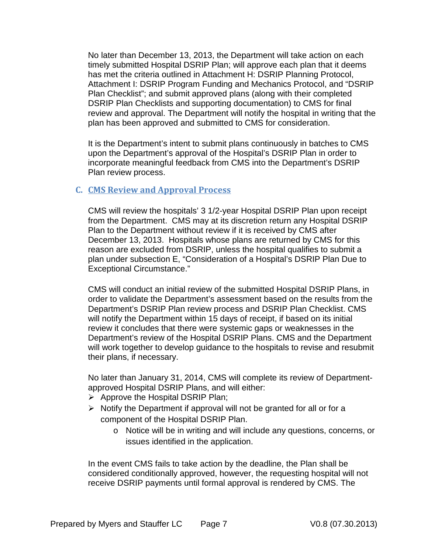No later than December 13, 2013, the Department will take action on each timely submitted Hospital DSRIP Plan; will approve each plan that it deems has met the criteria outlined in Attachment H: DSRIP Planning Protocol, Attachment I: DSRIP Program Funding and Mechanics Protocol, and "DSRIP Plan Checklist"; and submit approved plans (along with their completed DSRIP Plan Checklists and supporting documentation) to CMS for final review and approval. The Department will notify the hospital in writing that the plan has been approved and submitted to CMS for consideration.

It is the Department's intent to submit plans continuously in batches to CMS upon the Department's approval of the Hospital's DSRIP Plan in order to incorporate meaningful feedback from CMS into the Department's DSRIP Plan review process.

## <span id="page-7-0"></span>**C. CMS Review and Approval Process**

CMS will review the hospitals' 3 1/2-year Hospital DSRIP Plan upon receipt from the Department. CMS may at its discretion return any Hospital DSRIP Plan to the Department without review if it is received by CMS after December 13, 2013. Hospitals whose plans are returned by CMS for this reason are excluded from DSRIP, unless the hospital qualifies to submit a plan under subsection E, "Consideration of a Hospital's DSRIP Plan Due to Exceptional Circumstance."

CMS will conduct an initial review of the submitted Hospital DSRIP Plans, in order to validate the Department's assessment based on the results from the Department's DSRIP Plan review process and DSRIP Plan Checklist. CMS will notify the Department within 15 days of receipt, if based on its initial review it concludes that there were systemic gaps or weaknesses in the Department's review of the Hospital DSRIP Plans. CMS and the Department will work together to develop guidance to the hospitals to revise and resubmit their plans, if necessary.

No later than January 31, 2014, CMS will complete its review of Departmentapproved Hospital DSRIP Plans, and will either:

- $\triangleright$  Approve the Hospital DSRIP Plan;
- $\triangleright$  Notify the Department if approval will not be granted for all or for a component of the Hospital DSRIP Plan.
	- o Notice will be in writing and will include any questions, concerns, or issues identified in the application.

In the event CMS fails to take action by the deadline, the Plan shall be considered conditionally approved, however, the requesting hospital will not receive DSRIP payments until formal approval is rendered by CMS. The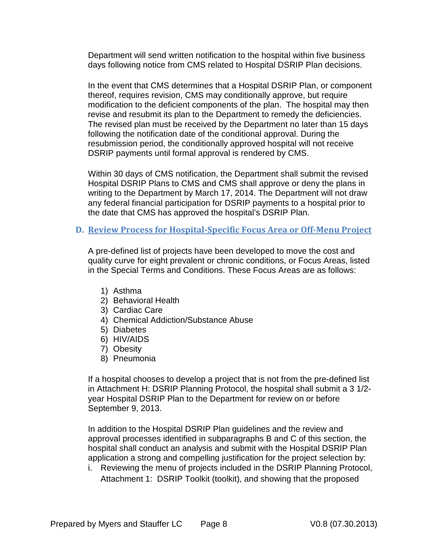Department will send written notification to the hospital within five business days following notice from CMS related to Hospital DSRIP Plan decisions.

In the event that CMS determines that a Hospital DSRIP Plan, or component thereof, requires revision, CMS may conditionally approve, but require modification to the deficient components of the plan. The hospital may then revise and resubmit its plan to the Department to remedy the deficiencies. The revised plan must be received by the Department no later than 15 days following the notification date of the conditional approval. During the resubmission period, the conditionally approved hospital will not receive DSRIP payments until formal approval is rendered by CMS.

Within 30 days of CMS notification, the Department shall submit the revised Hospital DSRIP Plans to CMS and CMS shall approve or deny the plans in writing to the Department by March 17, 2014. The Department will not draw any federal financial participation for DSRIP payments to a hospital prior to the date that CMS has approved the hospital's DSRIP Plan.

### <span id="page-8-0"></span>**D. Review Process for Hospital-Specific Focus Area or Off-Menu Project**

A pre-defined list of projects have been developed to move the cost and quality curve for eight prevalent or chronic conditions, or Focus Areas, listed in the Special Terms and Conditions. These Focus Areas are as follows:

- 1) Asthma
- 2) Behavioral Health
- 3) Cardiac Care
- 4) Chemical Addiction/Substance Abuse
- 5) Diabetes
- 6) HIV/AIDS
- 7) Obesity
- 8) Pneumonia

If a hospital chooses to develop a project that is not from the pre-defined list in Attachment H: DSRIP Planning Protocol, the hospital shall submit a 3 1/2 year Hospital DSRIP Plan to the Department for review on or before September 9, 2013.

In addition to the Hospital DSRIP Plan guidelines and the review and approval processes identified in subparagraphs B and C of this section, the hospital shall conduct an analysis and submit with the Hospital DSRIP Plan application a strong and compelling justification for the project selection by:

i. Reviewing the menu of projects included in the DSRIP Planning Protocol, Attachment 1: DSRIP Toolkit (toolkit), and showing that the proposed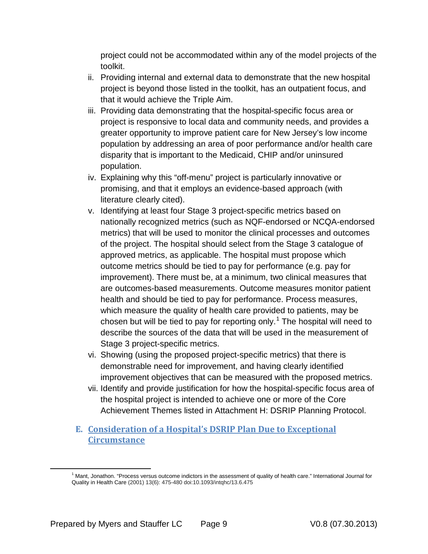project could not be accommodated within any of the model projects of the toolkit.

- ii. Providing internal and external data to demonstrate that the new hospital project is beyond those listed in the toolkit, has an outpatient focus, and that it would achieve the Triple Aim.
- iii. Providing data demonstrating that the hospital-specific focus area or project is responsive to local data and community needs, and provides a greater opportunity to improve patient care for New Jersey's low income population by addressing an area of poor performance and/or health care disparity that is important to the Medicaid, CHIP and/or uninsured population.
- iv. Explaining why this "off-menu" project is particularly innovative or promising, and that it employs an evidence-based approach (with literature clearly cited).
- v. Identifying at least four Stage 3 project-specific metrics based on nationally recognized metrics (such as NQF-endorsed or NCQA-endorsed metrics) that will be used to monitor the clinical processes and outcomes of the project. The hospital should select from the Stage 3 catalogue of approved metrics, as applicable. The hospital must propose which outcome metrics should be tied to pay for performance (e.g. pay for improvement). There must be, at a minimum, two clinical measures that are outcomes-based measurements. Outcome measures monitor patient health and should be tied to pay for performance. Process measures, which measure the quality of health care provided to patients, may be chosen but will be tied to pay for reporting only.<sup>[1](#page-9-1)</sup> The hospital will need to describe the sources of the data that will be used in the measurement of Stage 3 project-specific metrics.
- vi. Showing (using the proposed project-specific metrics) that there is demonstrable need for improvement, and having clearly identified improvement objectives that can be measured with the proposed metrics.
- vii. Identify and provide justification for how the hospital-specific focus area of the hospital project is intended to achieve one or more of the Core Achievement Themes listed in Attachment H: DSRIP Planning Protocol.

## <span id="page-9-0"></span>**E. Consideration of a Hospital's DSRIP Plan Due to Exceptional Circumstance**

<span id="page-9-1"></span>l

<sup>1</sup> Mant, Jonathon. "Process versus outcome indictors in the assessment of quality of health care." International Journal for Quality in Health Care (2001) 13(6): 475-480 doi:10.1093/intqhc/13.6.475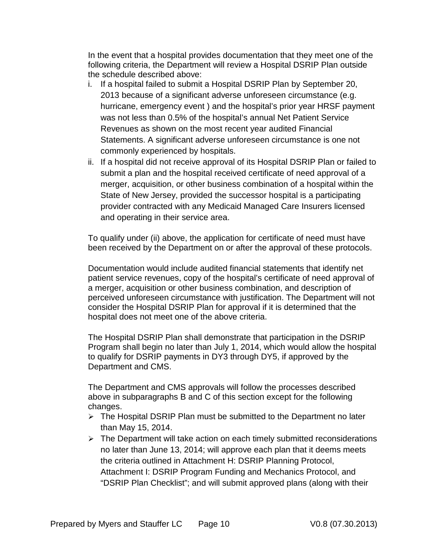In the event that a hospital provides documentation that they meet one of the following criteria, the Department will review a Hospital DSRIP Plan outside the schedule described above:

- i. If a hospital failed to submit a Hospital DSRIP Plan by September 20, 2013 because of a significant adverse unforeseen circumstance (e.g. hurricane, emergency event ) and the hospital's prior year HRSF payment was not less than 0.5% of the hospital's annual Net Patient Service Revenues as shown on the most recent year audited Financial Statements. A significant adverse unforeseen circumstance is one not commonly experienced by hospitals.
- ii. If a hospital did not receive approval of its Hospital DSRIP Plan or failed to submit a plan and the hospital received certificate of need approval of a merger, acquisition, or other business combination of a hospital within the State of New Jersey, provided the successor hospital is a participating provider contracted with any Medicaid Managed Care Insurers licensed and operating in their service area.

To qualify under (ii) above, the application for certificate of need must have been received by the Department on or after the approval of these protocols.

Documentation would include audited financial statements that identify net patient service revenues, copy of the hospital's certificate of need approval of a merger, acquisition or other business combination, and description of perceived unforeseen circumstance with justification. The Department will not consider the Hospital DSRIP Plan for approval if it is determined that the hospital does not meet one of the above criteria.

The Hospital DSRIP Plan shall demonstrate that participation in the DSRIP Program shall begin no later than July 1, 2014, which would allow the hospital to qualify for DSRIP payments in DY3 through DY5, if approved by the Department and CMS.

The Department and CMS approvals will follow the processes described above in subparagraphs B and C of this section except for the following changes.

- $\triangleright$  The Hospital DSRIP Plan must be submitted to the Department no later than May 15, 2014.
- $\triangleright$  The Department will take action on each timely submitted reconsiderations no later than June 13, 2014; will approve each plan that it deems meets the criteria outlined in Attachment H: DSRIP Planning Protocol, Attachment I: DSRIP Program Funding and Mechanics Protocol, and "DSRIP Plan Checklist"; and will submit approved plans (along with their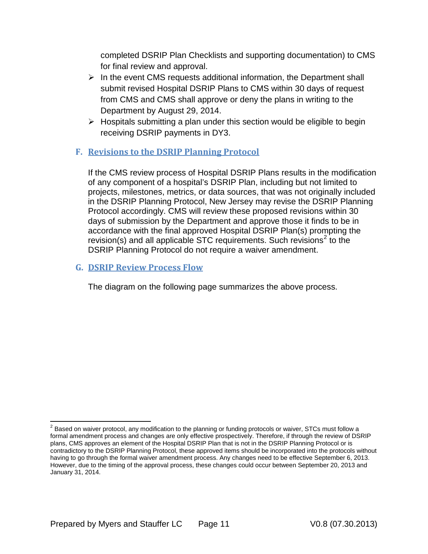completed DSRIP Plan Checklists and supporting documentation) to CMS for final review and approval.

- $\triangleright$  In the event CMS requests additional information, the Department shall submit revised Hospital DSRIP Plans to CMS within 30 days of request from CMS and CMS shall approve or deny the plans in writing to the Department by August 29, 2014.
- $\triangleright$  Hospitals submitting a plan under this section would be eligible to begin receiving DSRIP payments in DY3.

## <span id="page-11-0"></span>**F. Revisions to the DSRIP Planning Protocol**

If the CMS review process of Hospital DSRIP Plans results in the modification of any component of a hospital's DSRIP Plan, including but not limited to projects, milestones, metrics, or data sources, that was not originally included in the DSRIP Planning Protocol, New Jersey may revise the DSRIP Planning Protocol accordingly. CMS will review these proposed revisions within 30 days of submission by the Department and approve those it finds to be in accordance with the final approved Hospital DSRIP Plan(s) prompting the  $revision(s)$  and all applicable STC requirements. Such revisions<sup>[2](#page-11-2)</sup> to the DSRIP Planning Protocol do not require a waiver amendment.

## <span id="page-11-1"></span>**G. DSRIP Review Process Flow**

The diagram on the following page summarizes the above process.

<span id="page-11-2"></span> $<sup>2</sup>$  Based on waiver protocol, any modification to the planning or funding protocols or waiver, STCs must follow a</sup> formal amendment process and changes are only effective prospectively. Therefore, if through the review of DSRIP plans, CMS approves an element of the Hospital DSRIP Plan that is not in the DSRIP Planning Protocol or is contradictory to the DSRIP Planning Protocol, these approved items should be incorporated into the protocols without having to go through the formal waiver amendment process. Any changes need to be effective September 6, 2013. However, due to the timing of the approval process, these changes could occur between September 20, 2013 and January 31, 2014.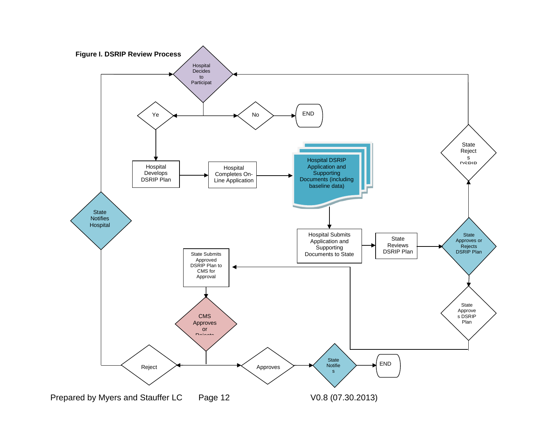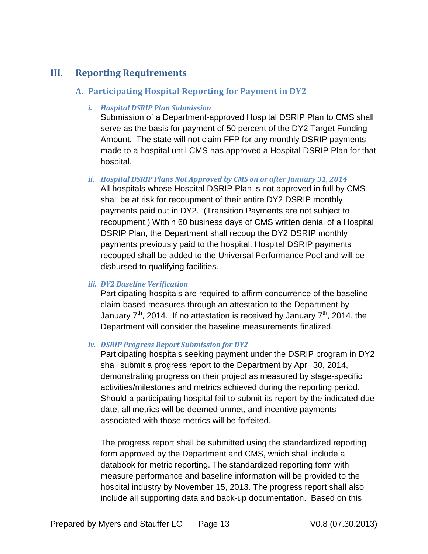# <span id="page-13-1"></span><span id="page-13-0"></span>**III. Reporting Requirements**

## **A. Participating Hospital Reporting for Payment in DY2**

### *i. Hospital DSRIP Plan Submission*

Submission of a Department-approved Hospital DSRIP Plan to CMS shall serve as the basis for payment of 50 percent of the DY2 Target Funding Amount. The state will not claim FFP for any monthly DSRIP payments made to a hospital until CMS has approved a Hospital DSRIP Plan for that hospital.

## *ii. Hospital DSRIP Plans Not Approved by CMS on or after January 31, 2014*

All hospitals whose Hospital DSRIP Plan is not approved in full by CMS shall be at risk for recoupment of their entire DY2 DSRIP monthly payments paid out in DY2. (Transition Payments are not subject to recoupment.) Within 60 business days of CMS written denial of a Hospital DSRIP Plan, the Department shall recoup the DY2 DSRIP monthly payments previously paid to the hospital. Hospital DSRIP payments recouped shall be added to the Universal Performance Pool and will be disbursed to qualifying facilities.

## *iii. DY2 Baseline Verification*

Participating hospitals are required to affirm concurrence of the baseline claim-based measures through an attestation to the Department by January  $7<sup>th</sup>$ , 2014. If no attestation is received by January  $7<sup>th</sup>$ , 2014, the Department will consider the baseline measurements finalized.

#### *iv. DSRIP Progress Report Submission for DY2*

Participating hospitals seeking payment under the DSRIP program in DY2 shall submit a progress report to the Department by April 30, 2014, demonstrating progress on their project as measured by stage-specific activities/milestones and metrics achieved during the reporting period. Should a participating hospital fail to submit its report by the indicated due date, all metrics will be deemed unmet, and incentive payments associated with those metrics will be forfeited.

The progress report shall be submitted using the standardized reporting form approved by the Department and CMS, which shall include a databook for metric reporting. The standardized reporting form with measure performance and baseline information will be provided to the hospital industry by November 15, 2013. The progress report shall also include all supporting data and back-up documentation. Based on this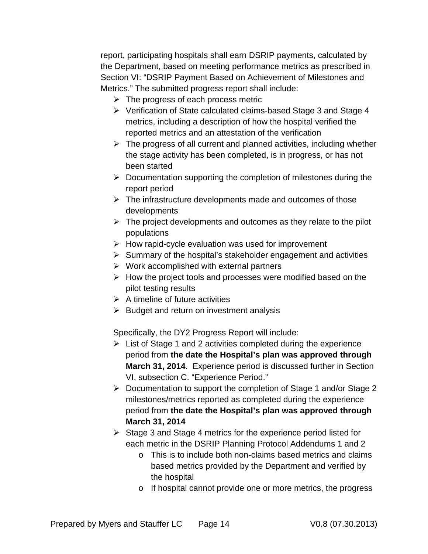report, participating hospitals shall earn DSRIP payments, calculated by the Department, based on meeting performance metrics as prescribed in Section VI: "DSRIP Payment Based on Achievement of Milestones and Metrics." The submitted progress report shall include:

- $\triangleright$  The progress of each process metric
- Verification of State calculated claims-based Stage 3 and Stage 4 metrics, including a description of how the hospital verified the reported metrics and an attestation of the verification
- $\triangleright$  The progress of all current and planned activities, including whether the stage activity has been completed, is in progress, or has not been started
- $\triangleright$  Documentation supporting the completion of milestones during the report period
- $\triangleright$  The infrastructure developments made and outcomes of those developments
- $\triangleright$  The project developments and outcomes as they relate to the pilot populations
- $\triangleright$  How rapid-cycle evaluation was used for improvement
- $\triangleright$  Summary of the hospital's stakeholder engagement and activities
- $\triangleright$  Work accomplished with external partners
- $\triangleright$  How the project tools and processes were modified based on the pilot testing results
- $\triangleright$  A timeline of future activities
- $\triangleright$  Budget and return on investment analysis

Specifically, the DY2 Progress Report will include:

- $\triangleright$  List of Stage 1 and 2 activities completed during the experience period from **the date the Hospital's plan was approved through March 31, 2014**. Experience period is discussed further in Section VI, subsection C. "Experience Period."
- Documentation to support the completion of Stage 1 and/or Stage 2 milestones/metrics reported as completed during the experience period from **the date the Hospital's plan was approved through March 31, 2014**
- $\triangleright$  Stage 3 and Stage 4 metrics for the experience period listed for each metric in the DSRIP Planning Protocol Addendums 1 and 2
	- o This is to include both non-claims based metrics and claims based metrics provided by the Department and verified by the hospital
	- o If hospital cannot provide one or more metrics, the progress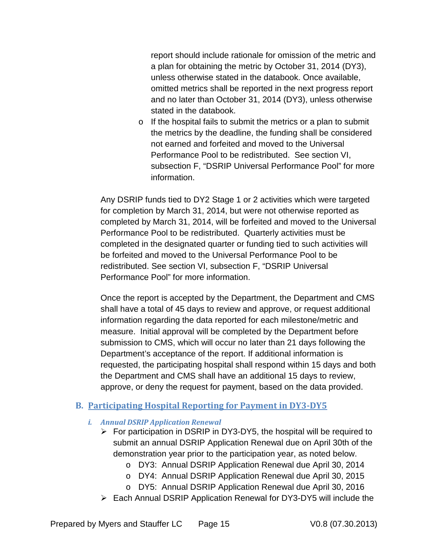report should include rationale for omission of the metric and a plan for obtaining the metric by October 31, 2014 (DY3), unless otherwise stated in the databook. Once available, omitted metrics shall be reported in the next progress report and no later than October 31, 2014 (DY3), unless otherwise stated in the databook.

o If the hospital fails to submit the metrics or a plan to submit the metrics by the deadline, the funding shall be considered not earned and forfeited and moved to the Universal Performance Pool to be redistributed. See section VI, subsection F, "DSRIP Universal Performance Pool" for more information.

Any DSRIP funds tied to DY2 Stage 1 or 2 activities which were targeted for completion by March 31, 2014, but were not otherwise reported as completed by March 31, 2014, will be forfeited and moved to the Universal Performance Pool to be redistributed. Quarterly activities must be completed in the designated quarter or funding tied to such activities will be forfeited and moved to the Universal Performance Pool to be redistributed. See section VI, subsection F, "DSRIP Universal Performance Pool" for more information.

Once the report is accepted by the Department, the Department and CMS shall have a total of 45 days to review and approve, or request additional information regarding the data reported for each milestone/metric and measure. Initial approval will be completed by the Department before submission to CMS, which will occur no later than 21 days following the Department's acceptance of the report. If additional information is requested, the participating hospital shall respond within 15 days and both the Department and CMS shall have an additional 15 days to review, approve, or deny the request for payment, based on the data provided.

## <span id="page-15-0"></span>**B. Participating Hospital Reporting for Payment in DY3-DY5**

- *i. Annual DSRIP Application Renewal*
	- $\triangleright$  For participation in DSRIP in DY3-DY5, the hospital will be required to submit an annual DSRIP Application Renewal due on April 30th of the demonstration year prior to the participation year, as noted below.
		- o DY3: Annual DSRIP Application Renewal due April 30, 2014
		- o DY4: Annual DSRIP Application Renewal due April 30, 2015
		- o DY5: Annual DSRIP Application Renewal due April 30, 2016
	- Each Annual DSRIP Application Renewal for DY3-DY5 will include the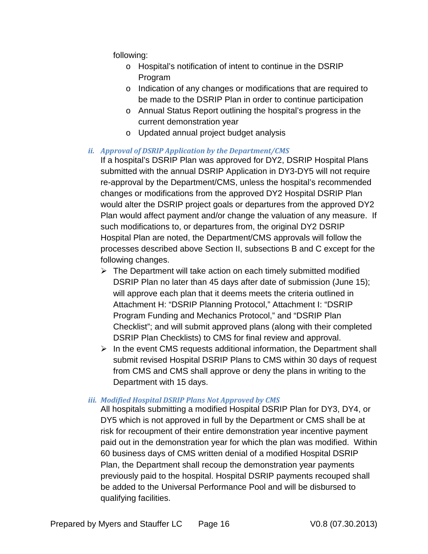following:

- o Hospital's notification of intent to continue in the DSRIP Program
- o Indication of any changes or modifications that are required to be made to the DSRIP Plan in order to continue participation
- o Annual Status Report outlining the hospital's progress in the current demonstration year
- o Updated annual project budget analysis

## *ii. Approval of DSRIP Application by the Department/CMS*

If a hospital's DSRIP Plan was approved for DY2, DSRIP Hospital Plans submitted with the annual DSRIP Application in DY3-DY5 will not require re-approval by the Department/CMS, unless the hospital's recommended changes or modifications from the approved DY2 Hospital DSRIP Plan would alter the DSRIP project goals or departures from the approved DY2 Plan would affect payment and/or change the valuation of any measure. If such modifications to, or departures from, the original DY2 DSRIP Hospital Plan are noted, the Department/CMS approvals will follow the processes described above Section II, subsections B and C except for the following changes.

- $\triangleright$  The Department will take action on each timely submitted modified DSRIP Plan no later than 45 days after date of submission (June 15); will approve each plan that it deems meets the criteria outlined in Attachment H: "DSRIP Planning Protocol," Attachment I: "DSRIP Program Funding and Mechanics Protocol," and "DSRIP Plan Checklist"; and will submit approved plans (along with their completed DSRIP Plan Checklists) to CMS for final review and approval.
- $\triangleright$  In the event CMS requests additional information, the Department shall submit revised Hospital DSRIP Plans to CMS within 30 days of request from CMS and CMS shall approve or deny the plans in writing to the Department with 15 days.

## *iii. Modified Hospital DSRIP Plans Not Approved by CMS*

All hospitals submitting a modified Hospital DSRIP Plan for DY3, DY4, or DY5 which is not approved in full by the Department or CMS shall be at risk for recoupment of their entire demonstration year incentive payment paid out in the demonstration year for which the plan was modified. Within 60 business days of CMS written denial of a modified Hospital DSRIP Plan, the Department shall recoup the demonstration year payments previously paid to the hospital. Hospital DSRIP payments recouped shall be added to the Universal Performance Pool and will be disbursed to qualifying facilities.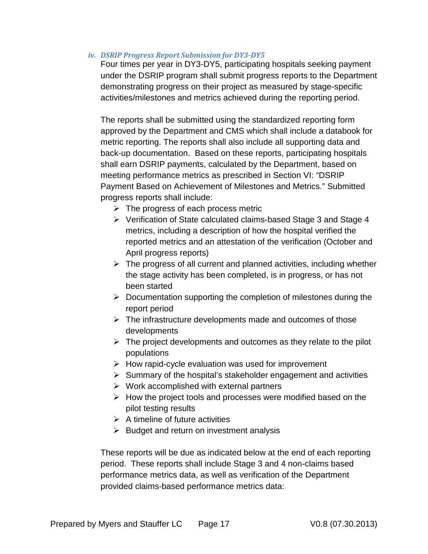*iv. DSRIP Progress Report Submission for DY3-DY5*

Four times per year in DY3-DY5, participating hospitals seeking payment under the DSRIP program shall submit progress reports to the Department demonstrating progress on their project as measured by stage-specific activities/milestones and metrics achieved during the reporting period.

The reports shall be submitted using the standardized reporting form approved by the Department and CMS which shall include a databook for metric reporting. The reports shall also include all supporting data and back-up documentation. Based on these reports, participating hospitals shall earn DSRIP payments, calculated by the Department, based on meeting performance metrics as prescribed in Section VI: "DSRIP Payment Based on Achievement of Milestones and Metrics." Submitted progress reports shall include:

- $\triangleright$  The progress of each process metric
- Verification of State calculated claims-based Stage 3 and Stage 4 metrics, including a description of how the hospital verified the reported metrics and an attestation of the verification (October and April progress reports)
- $\triangleright$  The progress of all current and planned activities, including whether the stage activity has been completed, is in progress, or has not been started
- $\triangleright$  Documentation supporting the completion of milestones during the report period
- $\triangleright$  The infrastructure developments made and outcomes of those developments
- $\triangleright$  The project developments and outcomes as they relate to the pilot populations
- $\triangleright$  How rapid-cycle evaluation was used for improvement
- $\triangleright$  Summary of the hospital's stakeholder engagement and activities
- $\triangleright$  Work accomplished with external partners
- $\triangleright$  How the project tools and processes were modified based on the pilot testing results
- $\triangleright$  A timeline of future activities
- $\triangleright$  Budget and return on investment analysis

These reports will be due as indicated below at the end of each reporting period. These reports shall include Stage 3 and 4 non-claims based performance metrics data, as well as verification of the Department provided claims-based performance metrics data: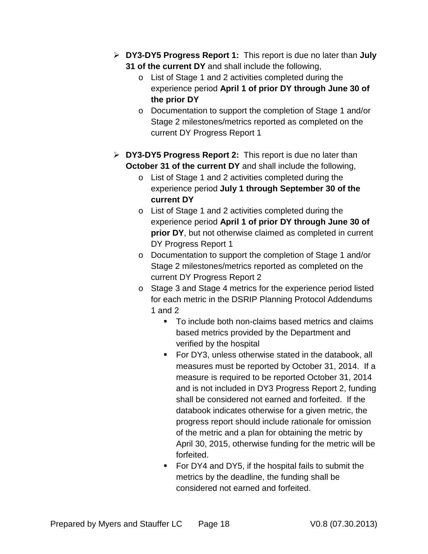- **DY3-DY5 Progress Report 1:** This report is due no later than **July 31 of the current DY** and shall include the following,
	- o List of Stage 1 and 2 activities completed during the experience period **April 1 of prior DY through June 30 of the prior DY**
	- o Documentation to support the completion of Stage 1 and/or Stage 2 milestones/metrics reported as completed on the current DY Progress Report 1
- **DY3-DY5 Progress Report 2:** This report is due no later than **October 31 of the current DY** and shall include the following,
	- o List of Stage 1 and 2 activities completed during the experience period **July 1 through September 30 of the current DY**
	- o List of Stage 1 and 2 activities completed during the experience period **April 1 of prior DY through June 30 of prior DY**, but not otherwise claimed as completed in current DY Progress Report 1
	- o Documentation to support the completion of Stage 1 and/or Stage 2 milestones/metrics reported as completed on the current DY Progress Report 2
	- o Stage 3 and Stage 4 metrics for the experience period listed for each metric in the DSRIP Planning Protocol Addendums 1 and 2
		- To include both non-claims based metrics and claims based metrics provided by the Department and verified by the hospital
		- **For DY3, unless otherwise stated in the databook, all** measures must be reported by October 31, 2014. If a measure is required to be reported October 31, 2014 and is not included in DY3 Progress Report 2, funding shall be considered not earned and forfeited. If the databook indicates otherwise for a given metric, the progress report should include rationale for omission of the metric and a plan for obtaining the metric by April 30, 2015, otherwise funding for the metric will be forfeited.
		- For DY4 and DY5, if the hospital fails to submit the metrics by the deadline, the funding shall be considered not earned and forfeited.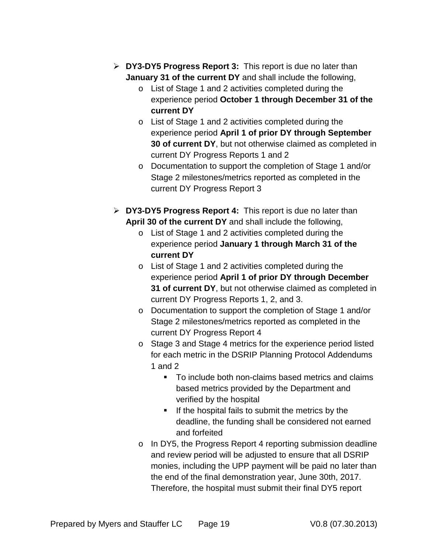- **DY3-DY5 Progress Report 3:** This report is due no later than **January 31 of the current DY** and shall include the following,
	- o List of Stage 1 and 2 activities completed during the experience period **October 1 through December 31 of the current DY**
	- o List of Stage 1 and 2 activities completed during the experience period **April 1 of prior DY through September 30 of current DY**, but not otherwise claimed as completed in current DY Progress Reports 1 and 2
	- o Documentation to support the completion of Stage 1 and/or Stage 2 milestones/metrics reported as completed in the current DY Progress Report 3
- **DY3-DY5 Progress Report 4:** This report is due no later than **April 30 of the current DY** and shall include the following,
	- o List of Stage 1 and 2 activities completed during the experience period **January 1 through March 31 of the current DY**
	- o List of Stage 1 and 2 activities completed during the experience period **April 1 of prior DY through December 31 of current DY**, but not otherwise claimed as completed in current DY Progress Reports 1, 2, and 3.
	- o Documentation to support the completion of Stage 1 and/or Stage 2 milestones/metrics reported as completed in the current DY Progress Report 4
	- o Stage 3 and Stage 4 metrics for the experience period listed for each metric in the DSRIP Planning Protocol Addendums 1 and 2
		- To include both non-claims based metrics and claims based metrics provided by the Department and verified by the hospital
		- $\blacksquare$  If the hospital fails to submit the metrics by the deadline, the funding shall be considered not earned and forfeited
	- o In DY5, the Progress Report 4 reporting submission deadline and review period will be adjusted to ensure that all DSRIP monies, including the UPP payment will be paid no later than the end of the final demonstration year, June 30th, 2017. Therefore, the hospital must submit their final DY5 report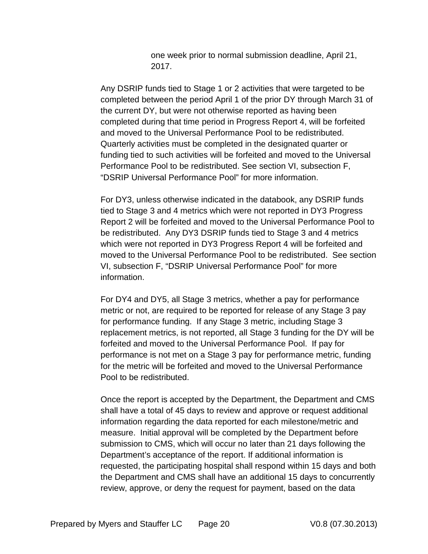one week prior to normal submission deadline, April 21, 2017.

Any DSRIP funds tied to Stage 1 or 2 activities that were targeted to be completed between the period April 1 of the prior DY through March 31 of the current DY, but were not otherwise reported as having been completed during that time period in Progress Report 4, will be forfeited and moved to the Universal Performance Pool to be redistributed. Quarterly activities must be completed in the designated quarter or funding tied to such activities will be forfeited and moved to the Universal Performance Pool to be redistributed. See section VI, subsection F, "DSRIP Universal Performance Pool" for more information.

For DY3, unless otherwise indicated in the databook, any DSRIP funds tied to Stage 3 and 4 metrics which were not reported in DY3 Progress Report 2 will be forfeited and moved to the Universal Performance Pool to be redistributed. Any DY3 DSRIP funds tied to Stage 3 and 4 metrics which were not reported in DY3 Progress Report 4 will be forfeited and moved to the Universal Performance Pool to be redistributed. See section VI, subsection F, "DSRIP Universal Performance Pool" for more information.

For DY4 and DY5, all Stage 3 metrics, whether a pay for performance metric or not, are required to be reported for release of any Stage 3 pay for performance funding. If any Stage 3 metric, including Stage 3 replacement metrics, is not reported, all Stage 3 funding for the DY will be forfeited and moved to the Universal Performance Pool. If pay for performance is not met on a Stage 3 pay for performance metric, funding for the metric will be forfeited and moved to the Universal Performance Pool to be redistributed.

Once the report is accepted by the Department, the Department and CMS shall have a total of 45 days to review and approve or request additional information regarding the data reported for each milestone/metric and measure. Initial approval will be completed by the Department before submission to CMS, which will occur no later than 21 days following the Department's acceptance of the report. If additional information is requested, the participating hospital shall respond within 15 days and both the Department and CMS shall have an additional 15 days to concurrently review, approve, or deny the request for payment, based on the data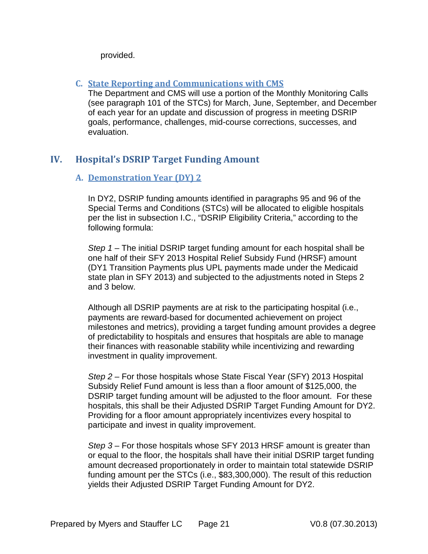provided.

## <span id="page-21-0"></span>**C. State Reporting and Communications with CMS**

The Department and CMS will use a portion of the Monthly Monitoring Calls (see paragraph 101 of the STCs) for March, June, September, and December of each year for an update and discussion of progress in meeting DSRIP goals, performance, challenges, mid-course corrections, successes, and evaluation.

# <span id="page-21-2"></span><span id="page-21-1"></span>**IV. Hospital's DSRIP Target Funding Amount**

## **A. Demonstration Year (DY) 2**

In DY2, DSRIP funding amounts identified in paragraphs 95 and 96 of the Special Terms and Conditions (STCs) will be allocated to eligible hospitals per the list in subsection I.C., "DSRIP Eligibility Criteria," according to the following formula:

*Step 1* – The initial DSRIP target funding amount for each hospital shall be one half of their SFY 2013 Hospital Relief Subsidy Fund (HRSF) amount (DY1 Transition Payments plus UPL payments made under the Medicaid state plan in SFY 2013) and subjected to the adjustments noted in Steps 2 and 3 below.

Although all DSRIP payments are at risk to the participating hospital (i.e., payments are reward-based for documented achievement on project milestones and metrics), providing a target funding amount provides a degree of predictability to hospitals and ensures that hospitals are able to manage their finances with reasonable stability while incentivizing and rewarding investment in quality improvement.

*Step 2* – For those hospitals whose State Fiscal Year (SFY) 2013 Hospital Subsidy Relief Fund amount is less than a floor amount of \$125,000, the DSRIP target funding amount will be adjusted to the floor amount. For these hospitals, this shall be their Adjusted DSRIP Target Funding Amount for DY2. Providing for a floor amount appropriately incentivizes every hospital to participate and invest in quality improvement.

*Step 3* – For those hospitals whose SFY 2013 HRSF amount is greater than or equal to the floor, the hospitals shall have their initial DSRIP target funding amount decreased proportionately in order to maintain total statewide DSRIP funding amount per the STCs (i.e., \$83,300,000). The result of this reduction yields their Adjusted DSRIP Target Funding Amount for DY2.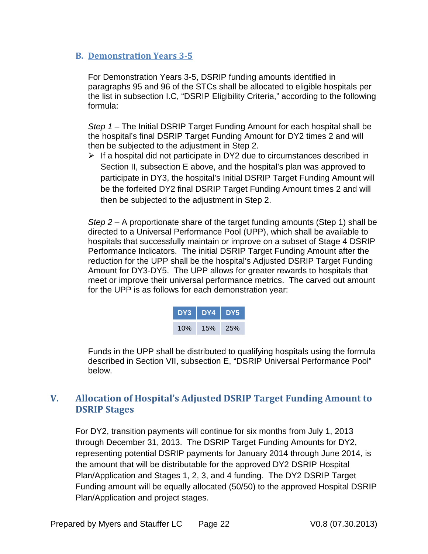## <span id="page-22-0"></span>**B. Demonstration Years 3-5**

For Demonstration Years 3-5, DSRIP funding amounts identified in paragraphs 95 and 96 of the STCs shall be allocated to eligible hospitals per the list in subsection I.C, "DSRIP Eligibility Criteria," according to the following formula:

*Step 1* – The Initial DSRIP Target Funding Amount for each hospital shall be the hospital's final DSRIP Target Funding Amount for DY2 times 2 and will then be subjected to the adjustment in Step 2.

 $\triangleright$  If a hospital did not participate in DY2 due to circumstances described in Section II, subsection E above, and the hospital's plan was approved to participate in DY3, the hospital's Initial DSRIP Target Funding Amount will be the forfeited DY2 final DSRIP Target Funding Amount times 2 and will then be subjected to the adjustment in Step 2.

*Step 2* – A proportionate share of the target funding amounts (Step 1) shall be directed to a Universal Performance Pool (UPP), which shall be available to hospitals that successfully maintain or improve on a subset of Stage 4 DSRIP Performance Indicators. The initial DSRIP Target Funding Amount after the reduction for the UPP shall be the hospital's Adjusted DSRIP Target Funding Amount for DY3-DY5. The UPP allows for greater rewards to hospitals that meet or improve their universal performance metrics. The carved out amount for the UPP is as follows for each demonstration year:



Funds in the UPP shall be distributed to qualifying hospitals using the formula described in Section VII, subsection E, "DSRIP Universal Performance Pool" below.

# <span id="page-22-1"></span>**V. Allocation of Hospital's Adjusted DSRIP Target Funding Amount to DSRIP Stages**

For DY2, transition payments will continue for six months from July 1, 2013 through December 31, 2013. The DSRIP Target Funding Amounts for DY2, representing potential DSRIP payments for January 2014 through June 2014, is the amount that will be distributable for the approved DY2 DSRIP Hospital Plan/Application and Stages 1, 2, 3, and 4 funding. The DY2 DSRIP Target Funding amount will be equally allocated (50/50) to the approved Hospital DSRIP Plan/Application and project stages.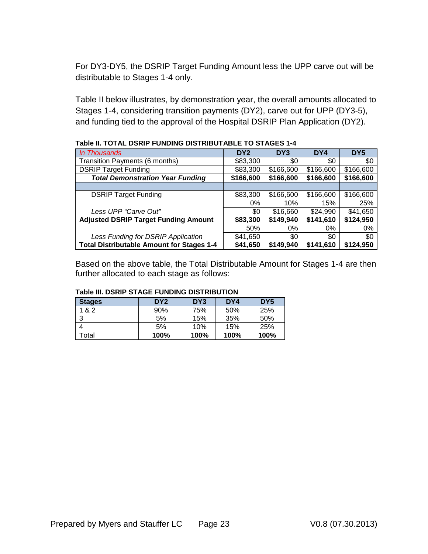For DY3-DY5, the DSRIP Target Funding Amount less the UPP carve out will be distributable to Stages 1-4 only.

Table II below illustrates, by demonstration year, the overall amounts allocated to Stages 1-4, considering transition payments (DY2), carve out for UPP (DY3-5), and funding tied to the approval of the Hospital DSRIP Plan Application (DY2).

| In Thousands                                     | DY <sub>2</sub> | DY3       | DY4       | DY <sub>5</sub> |
|--------------------------------------------------|-----------------|-----------|-----------|-----------------|
| Transition Payments (6 months)                   | \$83,300        | \$0       | \$0       | \$0             |
| <b>DSRIP Target Funding</b>                      | \$83,300        | \$166,600 | \$166,600 | \$166,600       |
| <b>Total Demonstration Year Funding</b>          | \$166,600       | \$166,600 | \$166,600 | \$166,600       |
|                                                  |                 |           |           |                 |
| <b>DSRIP Target Funding</b>                      | \$83,300        | \$166,600 | \$166,600 | \$166,600       |
|                                                  | 0%              | 10%       | 15%       | 25%             |
| Less UPP "Carve Out"                             | \$0             | \$16,660  | \$24,990  | \$41,650        |
| <b>Adjusted DSRIP Target Funding Amount</b>      | \$83,300        | \$149,940 | \$141,610 | \$124,950       |
|                                                  | 50%             | $0\%$     | $0\%$     | $0\%$           |
| Less Funding for DSRIP Application               | \$41,650        | \$0       | \$0       | \$0             |
| <b>Total Distributable Amount for Stages 1-4</b> | \$41,650        | \$149,940 | \$141,610 | \$124,950       |

**Table II. TOTAL DSRIP FUNDING DISTRIBUTABLE TO STAGES 1-4**

Based on the above table, the Total Distributable Amount for Stages 1-4 are then further allocated to each stage as follows:

| <b>Stages</b> | DY <sub>2</sub> | DY <sub>3</sub> | DY4  | DY <sub>5</sub> |
|---------------|-----------------|-----------------|------|-----------------|
| 1 & 2         | 90%             | 75%             | 50%  | 25%             |
| 3             | 5%              | 15%             | 35%  | 50%             |
|               | 5%              | 10%             | 15%  | 25%             |
| Гоtal         | 100%            | 100%            | 100% | 100%            |

#### **Table III. DSRIP STAGE FUNDING DISTRIBUTION**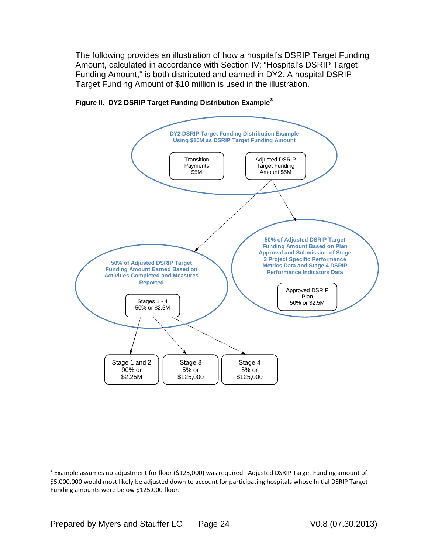The following provides an illustration of how a hospital's DSRIP Target Funding Amount, calculated in accordance with Section IV: "Hospital's DSRIP Target Funding Amount," is both distributed and earned in DY2. A hospital DSRIP Target Funding Amount of \$10 million is used in the illustration.





<span id="page-24-0"></span> $3$  Example assumes no adjustment for floor (\$125,000) was required. Adjusted DSRIP Target Funding amount of \$5,000,000 would most likely be adjusted down to account for participating hospitals whose Initial DSRIP Target Funding amounts were below \$125,000 floor.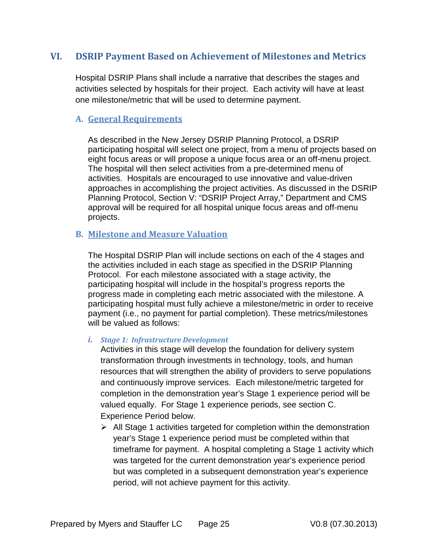# <span id="page-25-0"></span>**VI. DSRIP Payment Based on Achievement of Milestones and Metrics**

Hospital DSRIP Plans shall include a narrative that describes the stages and activities selected by hospitals for their project. Each activity will have at least one milestone/metric that will be used to determine payment.

## <span id="page-25-1"></span>**A. General Requirements**

As described in the New Jersey DSRIP Planning Protocol, a DSRIP participating hospital will select one project, from a menu of projects based on eight focus areas or will propose a unique focus area or an off-menu project. The hospital will then select activities from a pre-determined menu of activities. Hospitals are encouraged to use innovative and value-driven approaches in accomplishing the project activities. As discussed in the DSRIP Planning Protocol, Section V: "DSRIP Project Array," Department and CMS approval will be required for all hospital unique focus areas and off-menu projects.

## <span id="page-25-2"></span>**B. Milestone and Measure Valuation**

The Hospital DSRIP Plan will include sections on each of the 4 stages and the activities included in each stage as specified in the DSRIP Planning Protocol. For each milestone associated with a stage activity, the participating hospital will include in the hospital's progress reports the progress made in completing each metric associated with the milestone. A participating hospital must fully achieve a milestone/metric in order to receive payment (i.e., no payment for partial completion). These metrics/milestones will be valued as follows:

## *i. Stage 1: Infrastructure Development*

Activities in this stage will develop the foundation for delivery system transformation through investments in technology, tools, and human resources that will strengthen the ability of providers to serve populations and continuously improve services. Each milestone/metric targeted for completion in the demonstration year's Stage 1 experience period will be valued equally. For Stage 1 experience periods, see section C. Experience Period below.

 $\triangleright$  All Stage 1 activities targeted for completion within the demonstration year's Stage 1 experience period must be completed within that timeframe for payment. A hospital completing a Stage 1 activity which was targeted for the current demonstration year's experience period but was completed in a subsequent demonstration year's experience period, will not achieve payment for this activity.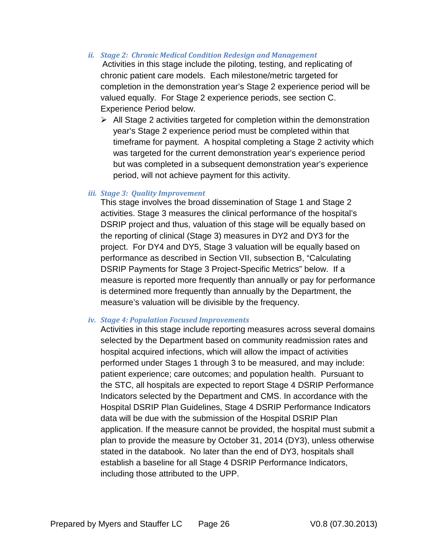*ii. Stage 2: Chronic Medical Condition Redesign and Management* 

Activities in this stage include the piloting, testing, and replicating of chronic patient care models. Each milestone/metric targeted for completion in the demonstration year's Stage 2 experience period will be valued equally. For Stage 2 experience periods, see section C. Experience Period below.

 $\triangleright$  All Stage 2 activities targeted for completion within the demonstration year's Stage 2 experience period must be completed within that timeframe for payment. A hospital completing a Stage 2 activity which was targeted for the current demonstration year's experience period but was completed in a subsequent demonstration year's experience period, will not achieve payment for this activity.

#### *iii. Stage 3: Quality Improvement*

This stage involves the broad dissemination of Stage 1 and Stage 2 activities. Stage 3 measures the clinical performance of the hospital's DSRIP project and thus, valuation of this stage will be equally based on the reporting of clinical (Stage 3) measures in DY2 and DY3 for the project. For DY4 and DY5, Stage 3 valuation will be equally based on performance as described in Section VII, subsection B, "Calculating DSRIP Payments for Stage 3 Project-Specific Metrics" below. If a measure is reported more frequently than annually or pay for performance is determined more frequently than annually by the Department, the measure's valuation will be divisible by the frequency.

#### *iv. Stage 4: Population Focused Improvements*

Activities in this stage include reporting measures across several domains selected by the Department based on community readmission rates and hospital acquired infections, which will allow the impact of activities performed under Stages 1 through 3 to be measured, and may include: patient experience; care outcomes; and population health. Pursuant to the STC, all hospitals are expected to report Stage 4 DSRIP Performance Indicators selected by the Department and CMS. In accordance with the Hospital DSRIP Plan Guidelines, Stage 4 DSRIP Performance Indicators data will be due with the submission of the Hospital DSRIP Plan application. If the measure cannot be provided, the hospital must submit a plan to provide the measure by October 31, 2014 (DY3), unless otherwise stated in the databook. No later than the end of DY3, hospitals shall establish a baseline for all Stage 4 DSRIP Performance Indicators, including those attributed to the UPP.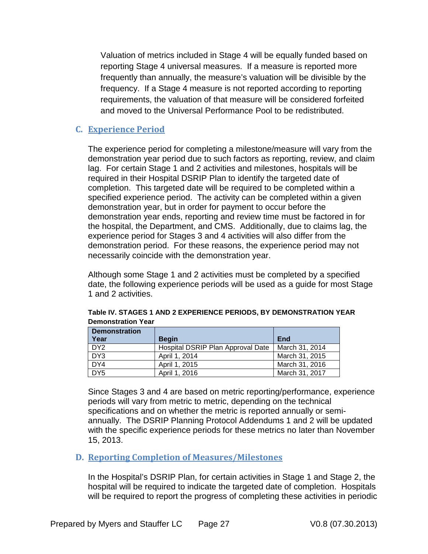Valuation of metrics included in Stage 4 will be equally funded based on reporting Stage 4 universal measures. If a measure is reported more frequently than annually, the measure's valuation will be divisible by the frequency. If a Stage 4 measure is not reported according to reporting requirements, the valuation of that measure will be considered forfeited and moved to the Universal Performance Pool to be redistributed.

## <span id="page-27-0"></span>**C. Experience Period**

The experience period for completing a milestone/measure will vary from the demonstration year period due to such factors as reporting, review, and claim lag. For certain Stage 1 and 2 activities and milestones, hospitals will be required in their Hospital DSRIP Plan to identify the targeted date of completion. This targeted date will be required to be completed within a specified experience period. The activity can be completed within a given demonstration year, but in order for payment to occur before the demonstration year ends, reporting and review time must be factored in for the hospital, the Department, and CMS. Additionally, due to claims lag, the experience period for Stages 3 and 4 activities will also differ from the demonstration period. For these reasons, the experience period may not necessarily coincide with the demonstration year.

Although some Stage 1 and 2 activities must be completed by a specified date, the following experience periods will be used as a guide for most Stage 1 and 2 activities.

| <b>Demonstration</b> |                                   |                |
|----------------------|-----------------------------------|----------------|
| Year                 | <b>Begin</b>                      | End            |
| DY <sub>2</sub>      | Hospital DSRIP Plan Approval Date | March 31, 2014 |
| DY3                  | April 1, 2014                     | March 31, 2015 |
| DY4                  | April 1, 2015                     | March 31, 2016 |
| DY <sub>5</sub>      | April 1, 2016                     | March 31, 2017 |

| Table IV. STAGES 1 AND 2 EXPERIENCE PERIODS, BY DEMONSTRATION YEAR |
|--------------------------------------------------------------------|
| <b>Demonstration Year</b>                                          |

Since Stages 3 and 4 are based on metric reporting/performance, experience periods will vary from metric to metric, depending on the technical specifications and on whether the metric is reported annually or semiannually. The DSRIP Planning Protocol Addendums 1 and 2 will be updated with the specific experience periods for these metrics no later than November 15, 2013.

#### <span id="page-27-1"></span>**D. Reporting Completion of Measures/Milestones**

In the Hospital's DSRIP Plan, for certain activities in Stage 1 and Stage 2, the hospital will be required to indicate the targeted date of completion. Hospitals will be required to report the progress of completing these activities in periodic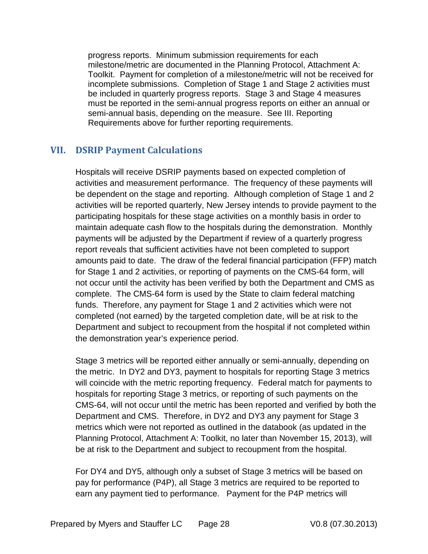progress reports. Minimum submission requirements for each milestone/metric are documented in the Planning Protocol, Attachment A: Toolkit. Payment for completion of a milestone/metric will not be received for incomplete submissions. Completion of Stage 1 and Stage 2 activities must be included in quarterly progress reports. Stage 3 and Stage 4 measures must be reported in the semi-annual progress reports on either an annual or semi-annual basis, depending on the measure. See III. Reporting Requirements above for further reporting requirements.

## <span id="page-28-0"></span>**VII. DSRIP Payment Calculations**

Hospitals will receive DSRIP payments based on expected completion of activities and measurement performance. The frequency of these payments will be dependent on the stage and reporting. Although completion of Stage 1 and 2 activities will be reported quarterly, New Jersey intends to provide payment to the participating hospitals for these stage activities on a monthly basis in order to maintain adequate cash flow to the hospitals during the demonstration. Monthly payments will be adjusted by the Department if review of a quarterly progress report reveals that sufficient activities have not been completed to support amounts paid to date. The draw of the federal financial participation (FFP) match for Stage 1 and 2 activities, or reporting of payments on the CMS-64 form, will not occur until the activity has been verified by both the Department and CMS as complete. The CMS-64 form is used by the State to claim federal matching funds. Therefore, any payment for Stage 1 and 2 activities which were not completed (not earned) by the targeted completion date, will be at risk to the Department and subject to recoupment from the hospital if not completed within the demonstration year's experience period.

Stage 3 metrics will be reported either annually or semi-annually, depending on the metric. In DY2 and DY3, payment to hospitals for reporting Stage 3 metrics will coincide with the metric reporting frequency. Federal match for payments to hospitals for reporting Stage 3 metrics, or reporting of such payments on the CMS-64, will not occur until the metric has been reported and verified by both the Department and CMS. Therefore, in DY2 and DY3 any payment for Stage 3 metrics which were not reported as outlined in the databook (as updated in the Planning Protocol, Attachment A: Toolkit, no later than November 15, 2013), will be at risk to the Department and subject to recoupment from the hospital.

For DY4 and DY5, although only a subset of Stage 3 metrics will be based on pay for performance (P4P), all Stage 3 metrics are required to be reported to earn any payment tied to performance. Payment for the P4P metrics will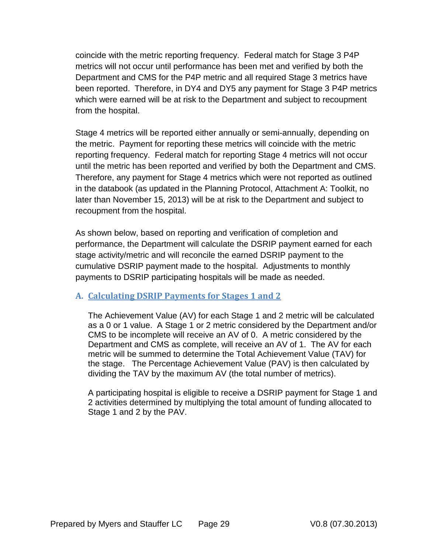coincide with the metric reporting frequency. Federal match for Stage 3 P4P metrics will not occur until performance has been met and verified by both the Department and CMS for the P4P metric and all required Stage 3 metrics have been reported. Therefore, in DY4 and DY5 any payment for Stage 3 P4P metrics which were earned will be at risk to the Department and subject to recoupment from the hospital.

Stage 4 metrics will be reported either annually or semi-annually, depending on the metric. Payment for reporting these metrics will coincide with the metric reporting frequency. Federal match for reporting Stage 4 metrics will not occur until the metric has been reported and verified by both the Department and CMS. Therefore, any payment for Stage 4 metrics which were not reported as outlined in the databook (as updated in the Planning Protocol, Attachment A: Toolkit, no later than November 15, 2013) will be at risk to the Department and subject to recoupment from the hospital.

As shown below, based on reporting and verification of completion and performance, the Department will calculate the DSRIP payment earned for each stage activity/metric and will reconcile the earned DSRIP payment to the cumulative DSRIP payment made to the hospital. Adjustments to monthly payments to DSRIP participating hospitals will be made as needed.

# <span id="page-29-0"></span>**A. Calculating DSRIP Payments for Stages 1 and 2**

The Achievement Value (AV) for each Stage 1 and 2 metric will be calculated as a 0 or 1 value. A Stage 1 or 2 metric considered by the Department and/or CMS to be incomplete will receive an AV of 0. A metric considered by the Department and CMS as complete, will receive an AV of 1. The AV for each metric will be summed to determine the Total Achievement Value (TAV) for the stage. The Percentage Achievement Value (PAV) is then calculated by dividing the TAV by the maximum AV (the total number of metrics).

A participating hospital is eligible to receive a DSRIP payment for Stage 1 and 2 activities determined by multiplying the total amount of funding allocated to Stage 1 and 2 by the PAV.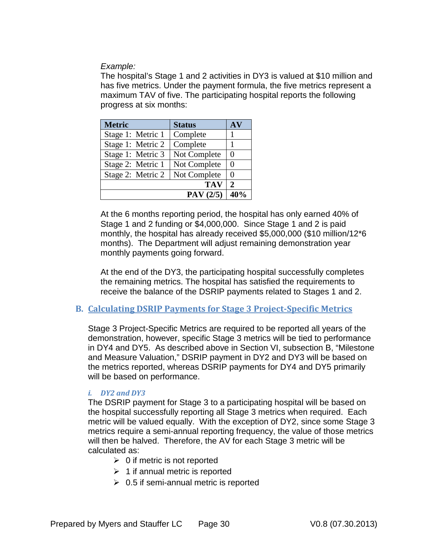*Example:* 

The hospital's Stage 1 and 2 activities in DY3 is valued at \$10 million and has five metrics. Under the payment formula, the five metrics represent a maximum TAV of five. The participating hospital reports the following progress at six months:

| <b>Metric</b>     | <b>Status</b> | AV           |
|-------------------|---------------|--------------|
| Stage 1: Metric 1 | Complete      |              |
| Stage 1: Metric 2 | Complete      |              |
| Stage 1: Metric 3 | Not Complete  | 0            |
| Stage 2: Metric 1 | Not Complete  | 0            |
| Stage 2: Metric 2 | Not Complete  | 0            |
|                   | <b>TAV</b>    | $\mathbf{2}$ |
|                   | PAV(2/5)      | 40%          |

At the 6 months reporting period, the hospital has only earned 40% of Stage 1 and 2 funding or \$4,000,000. Since Stage 1 and 2 is paid monthly, the hospital has already received \$5,000,000 (\$10 million/12\*6 months). The Department will adjust remaining demonstration year monthly payments going forward.

At the end of the DY3, the participating hospital successfully completes the remaining metrics. The hospital has satisfied the requirements to receive the balance of the DSRIP payments related to Stages 1 and 2.

## <span id="page-30-0"></span>**B. Calculating DSRIP Payments for Stage 3 Project-Specific Metrics**

Stage 3 Project-Specific Metrics are required to be reported all years of the demonstration, however, specific Stage 3 metrics will be tied to performance in DY4 and DY5. As described above in Section VI, subsection B, "Milestone and Measure Valuation," DSRIP payment in DY2 and DY3 will be based on the metrics reported, whereas DSRIP payments for DY4 and DY5 primarily will be based on performance.

## *i. DY2 and DY3*

The DSRIP payment for Stage 3 to a participating hospital will be based on the hospital successfully reporting all Stage 3 metrics when required. Each metric will be valued equally. With the exception of DY2, since some Stage 3 metrics require a semi-annual reporting frequency, the value of those metrics will then be halved. Therefore, the AV for each Stage 3 metric will be calculated as:

- $\geq 0$  if metric is not reported
- $\geq 1$  if annual metric is reported
- $\geq 0.5$  if semi-annual metric is reported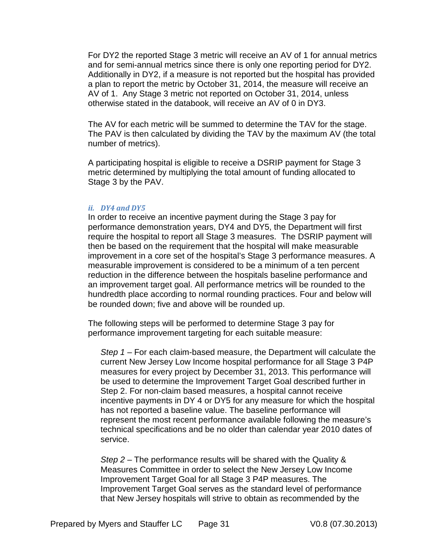For DY2 the reported Stage 3 metric will receive an AV of 1 for annual metrics and for semi-annual metrics since there is only one reporting period for DY2. Additionally in DY2, if a measure is not reported but the hospital has provided a plan to report the metric by October 31, 2014, the measure will receive an AV of 1. Any Stage 3 metric not reported on October 31, 2014, unless otherwise stated in the databook, will receive an AV of 0 in DY3.

The AV for each metric will be summed to determine the TAV for the stage. The PAV is then calculated by dividing the TAV by the maximum AV (the total number of metrics).

A participating hospital is eligible to receive a DSRIP payment for Stage 3 metric determined by multiplying the total amount of funding allocated to Stage 3 by the PAV.

#### *ii. DY4 and DY5*

In order to receive an incentive payment during the Stage 3 pay for performance demonstration years, DY4 and DY5, the Department will first require the hospital to report all Stage 3 measures. The DSRIP payment will then be based on the requirement that the hospital will make measurable improvement in a core set of the hospital's Stage 3 performance measures. A measurable improvement is considered to be a minimum of a ten percent reduction in the difference between the hospitals baseline performance and an improvement target goal. All performance metrics will be rounded to the hundredth place according to normal rounding practices. Four and below will be rounded down; five and above will be rounded up.

The following steps will be performed to determine Stage 3 pay for performance improvement targeting for each suitable measure:

*Step 1* – For each claim-based measure, the Department will calculate the current New Jersey Low Income hospital performance for all Stage 3 P4P measures for every project by December 31, 2013. This performance will be used to determine the Improvement Target Goal described further in Step 2. For non-claim based measures, a hospital cannot receive incentive payments in DY 4 or DY5 for any measure for which the hospital has not reported a baseline value. The baseline performance will represent the most recent performance available following the measure's technical specifications and be no older than calendar year 2010 dates of service.

*Step 2* – The performance results will be shared with the Quality & Measures Committee in order to select the New Jersey Low Income Improvement Target Goal for all Stage 3 P4P measures. The Improvement Target Goal serves as the standard level of performance that New Jersey hospitals will strive to obtain as recommended by the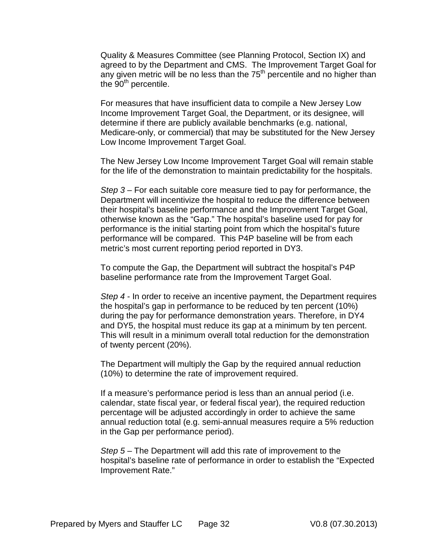Quality & Measures Committee (see Planning Protocol, Section IX) and agreed to by the Department and CMS. The Improvement Target Goal for any given metric will be no less than the  $75<sup>th</sup>$  percentile and no higher than the  $90<sup>th</sup>$  percentile.

For measures that have insufficient data to compile a New Jersey Low Income Improvement Target Goal, the Department, or its designee, will determine if there are publicly available benchmarks (e.g. national, Medicare-only, or commercial) that may be substituted for the New Jersey Low Income Improvement Target Goal.

The New Jersey Low Income Improvement Target Goal will remain stable for the life of the demonstration to maintain predictability for the hospitals.

*Step 3* – For each suitable core measure tied to pay for performance, the Department will incentivize the hospital to reduce the difference between their hospital's baseline performance and the Improvement Target Goal, otherwise known as the "Gap." The hospital's baseline used for pay for performance is the initial starting point from which the hospital's future performance will be compared. This P4P baseline will be from each metric's most current reporting period reported in DY3.

To compute the Gap, the Department will subtract the hospital's P4P baseline performance rate from the Improvement Target Goal.

*Step 4* - In order to receive an incentive payment, the Department requires the hospital's gap in performance to be reduced by ten percent (10%) during the pay for performance demonstration years. Therefore, in DY4 and DY5, the hospital must reduce its gap at a minimum by ten percent. This will result in a minimum overall total reduction for the demonstration of twenty percent (20%).

The Department will multiply the Gap by the required annual reduction (10%) to determine the rate of improvement required.

If a measure's performance period is less than an annual period (i.e. calendar, state fiscal year, or federal fiscal year), the required reduction percentage will be adjusted accordingly in order to achieve the same annual reduction total (e.g. semi-annual measures require a 5% reduction in the Gap per performance period).

*Step 5* – The Department will add this rate of improvement to the hospital's baseline rate of performance in order to establish the "Expected Improvement Rate."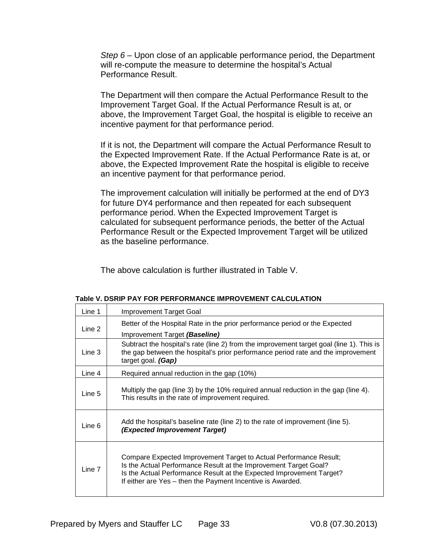*Step 6* – Upon close of an applicable performance period, the Department will re-compute the measure to determine the hospital's Actual Performance Result.

The Department will then compare the Actual Performance Result to the Improvement Target Goal. If the Actual Performance Result is at, or above, the Improvement Target Goal, the hospital is eligible to receive an incentive payment for that performance period.

If it is not, the Department will compare the Actual Performance Result to the Expected Improvement Rate. If the Actual Performance Rate is at, or above, the Expected Improvement Rate the hospital is eligible to receive an incentive payment for that performance period.

The improvement calculation will initially be performed at the end of DY3 for future DY4 performance and then repeated for each subsequent performance period. When the Expected Improvement Target is calculated for subsequent performance periods, the better of the Actual Performance Result or the Expected Improvement Target will be utilized as the baseline performance.

The above calculation is further illustrated in Table V.

| Line 1 | Improvement Target Goal                                                                                                                                                                                                                                                     |
|--------|-----------------------------------------------------------------------------------------------------------------------------------------------------------------------------------------------------------------------------------------------------------------------------|
|        | Better of the Hospital Rate in the prior performance period or the Expected                                                                                                                                                                                                 |
| Line 2 | Improvement Target (Baseline)                                                                                                                                                                                                                                               |
| Line 3 | Subtract the hospital's rate (line 2) from the improvement target goal (line 1). This is<br>the gap between the hospital's prior performance period rate and the improvement<br>target goal. (Gap)                                                                          |
| Line 4 | Required annual reduction in the gap (10%)                                                                                                                                                                                                                                  |
| Line 5 | Multiply the gap (line 3) by the 10% required annual reduction in the gap (line 4).<br>This results in the rate of improvement required.                                                                                                                                    |
| Line 6 | Add the hospital's baseline rate (line 2) to the rate of improvement (line 5).<br>(Expected Improvement Target)                                                                                                                                                             |
| Line 7 | Compare Expected Improvement Target to Actual Performance Result;<br>Is the Actual Performance Result at the Improvement Target Goal?<br>Is the Actual Performance Result at the Expected Improvement Target?<br>If either are Yes - then the Payment Incentive is Awarded. |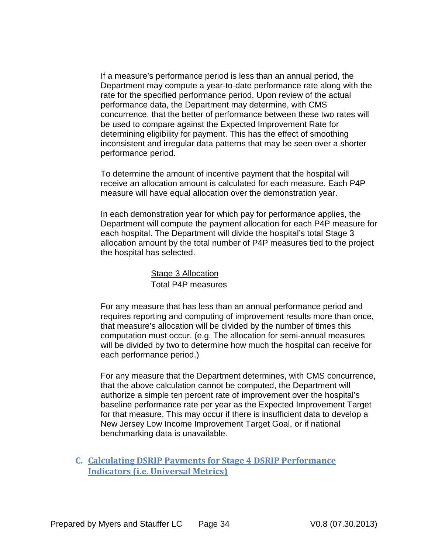If a measure's performance period is less than an annual period, the Department may compute a year-to-date performance rate along with the rate for the specified performance period. Upon review of the actual performance data, the Department may determine, with CMS concurrence, that the better of performance between these two rates will be used to compare against the Expected Improvement Rate for determining eligibility for payment. This has the effect of smoothing inconsistent and irregular data patterns that may be seen over a shorter performance period.

To determine the amount of incentive payment that the hospital will receive an allocation amount is calculated for each measure. Each P4P measure will have equal allocation over the demonstration year.

In each demonstration year for which pay for performance applies, the Department will compute the payment allocation for each P4P measure for each hospital. The Department will divide the hospital's total Stage 3 allocation amount by the total number of P4P measures tied to the project the hospital has selected.

> Stage 3 Allocation Total P4P measures

For any measure that has less than an annual performance period and requires reporting and computing of improvement results more than once, that measure's allocation will be divided by the number of times this computation must occur. (e.g. The allocation for semi-annual measures will be divided by two to determine how much the hospital can receive for each performance period.)

For any measure that the Department determines, with CMS concurrence, that the above calculation cannot be computed, the Department will authorize a simple ten percent rate of improvement over the hospital's baseline performance rate per year as the Expected Improvement Target for that measure. This may occur if there is insufficient data to develop a New Jersey Low Income Improvement Target Goal, or if national benchmarking data is unavailable.

<span id="page-34-0"></span>**C. Calculating DSRIP Payments for Stage 4 DSRIP Performance Indicators (i.e. Universal Metrics)**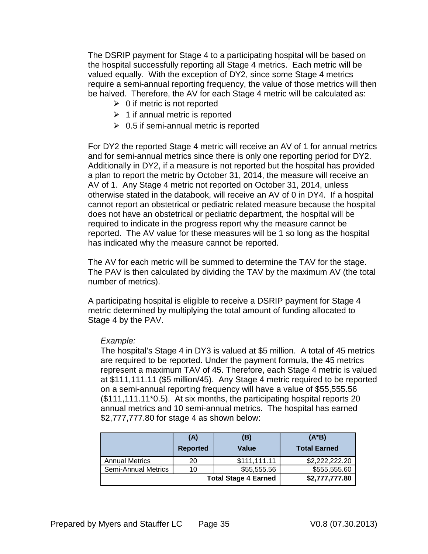The DSRIP payment for Stage 4 to a participating hospital will be based on the hospital successfully reporting all Stage 4 metrics. Each metric will be valued equally. With the exception of DY2, since some Stage 4 metrics require a semi-annual reporting frequency, the value of those metrics will then be halved. Therefore, the AV for each Stage 4 metric will be calculated as:

- $\geq 0$  if metric is not reported
- $\geq 1$  if annual metric is reported
- $\geq 0.5$  if semi-annual metric is reported

For DY2 the reported Stage 4 metric will receive an AV of 1 for annual metrics and for semi-annual metrics since there is only one reporting period for DY2. Additionally in DY2, if a measure is not reported but the hospital has provided a plan to report the metric by October 31, 2014, the measure will receive an AV of 1. Any Stage 4 metric not reported on October 31, 2014, unless otherwise stated in the databook, will receive an AV of 0 in DY4. If a hospital cannot report an obstetrical or pediatric related measure because the hospital does not have an obstetrical or pediatric department, the hospital will be required to indicate in the progress report why the measure cannot be reported. The AV value for these measures will be 1 so long as the hospital has indicated why the measure cannot be reported.

The AV for each metric will be summed to determine the TAV for the stage. The PAV is then calculated by dividing the TAV by the maximum AV (the total number of metrics).

A participating hospital is eligible to receive a DSRIP payment for Stage 4 metric determined by multiplying the total amount of funding allocated to Stage 4 by the PAV.

## *Example:*

The hospital's Stage 4 in DY3 is valued at \$5 million. A total of 45 metrics are required to be reported. Under the payment formula, the 45 metrics represent a maximum TAV of 45. Therefore, each Stage 4 metric is valued at \$111,111.11 (\$5 million/45). Any Stage 4 metric required to be reported on a semi-annual reporting frequency will have a value of \$55,555.56 (\$111,111.11\*0.5). At six months, the participating hospital reports 20 annual metrics and 10 semi-annual metrics. The hospital has earned \$2,777,777.80 for stage 4 as shown below:

|                       | (A)             | (B)                         | $(A*B)$             |
|-----------------------|-----------------|-----------------------------|---------------------|
|                       | <b>Reported</b> | Value                       | <b>Total Earned</b> |
| <b>Annual Metrics</b> | 20              | \$111,111.11                | \$2,222,222.20      |
| Semi-Annual Metrics   | 10              | \$55,555.56                 | \$555,555.60        |
|                       |                 | <b>Total Stage 4 Earned</b> | \$2,777,777.80      |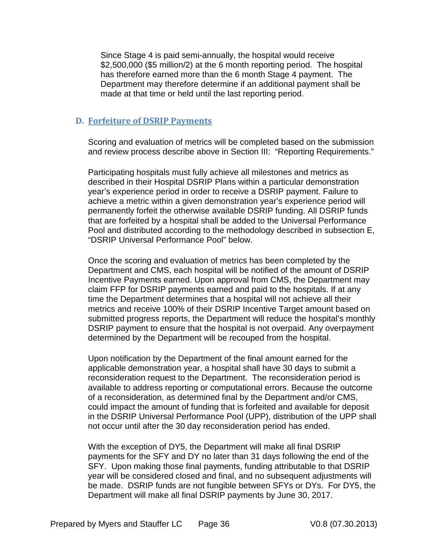Since Stage 4 is paid semi-annually, the hospital would receive \$2,500,000 (\$5 million/2) at the 6 month reporting period. The hospital has therefore earned more than the 6 month Stage 4 payment. The Department may therefore determine if an additional payment shall be made at that time or held until the last reporting period.

## <span id="page-36-0"></span>**D. Forfeiture of DSRIP Payments**

Scoring and evaluation of metrics will be completed based on the submission and review process describe above in Section III: "Reporting Requirements."

Participating hospitals must fully achieve all milestones and metrics as described in their Hospital DSRIP Plans within a particular demonstration year's experience period in order to receive a DSRIP payment. Failure to achieve a metric within a given demonstration year's experience period will permanently forfeit the otherwise available DSRIP funding. All DSRIP funds that are forfeited by a hospital shall be added to the Universal Performance Pool and distributed according to the methodology described in subsection E, "DSRIP Universal Performance Pool" below.

Once the scoring and evaluation of metrics has been completed by the Department and CMS, each hospital will be notified of the amount of DSRIP Incentive Payments earned. Upon approval from CMS, the Department may claim FFP for DSRIP payments earned and paid to the hospitals. If at any time the Department determines that a hospital will not achieve all their metrics and receive 100% of their DSRIP Incentive Target amount based on submitted progress reports, the Department will reduce the hospital's monthly DSRIP payment to ensure that the hospital is not overpaid. Any overpayment determined by the Department will be recouped from the hospital.

Upon notification by the Department of the final amount earned for the applicable demonstration year, a hospital shall have 30 days to submit a reconsideration request to the Department. The reconsideration period is available to address reporting or computational errors. Because the outcome of a reconsideration, as determined final by the Department and/or CMS, could impact the amount of funding that is forfeited and available for deposit in the DSRIP Universal Performance Pool (UPP), distribution of the UPP shall not occur until after the 30 day reconsideration period has ended.

With the exception of DY5, the Department will make all final DSRIP payments for the SFY and DY no later than 31 days following the end of the SFY. Upon making those final payments, funding attributable to that DSRIP year will be considered closed and final, and no subsequent adjustments will be made. DSRIP funds are not fungible between SFYs or DYs. For DY5, the Department will make all final DSRIP payments by June 30, 2017.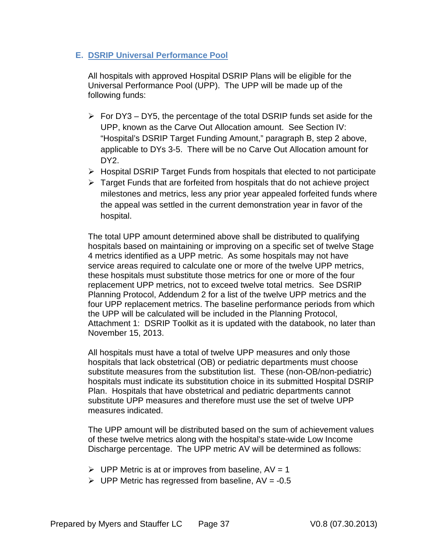## <span id="page-37-0"></span>**E. DSRIP Universal Performance Pool**

All hospitals with approved Hospital DSRIP Plans will be eligible for the Universal Performance Pool (UPP). The UPP will be made up of the following funds:

- $\triangleright$  For DY3 DY5, the percentage of the total DSRIP funds set aside for the UPP, known as the Carve Out Allocation amount. See Section IV: "Hospital's DSRIP Target Funding Amount," paragraph B, step 2 above, applicable to DYs 3-5. There will be no Carve Out Allocation amount for DY<sub>2</sub>
- $\triangleright$  Hospital DSRIP Target Funds from hospitals that elected to not participate
- $\triangleright$  Target Funds that are forfeited from hospitals that do not achieve project milestones and metrics, less any prior year appealed forfeited funds where the appeal was settled in the current demonstration year in favor of the hospital.

The total UPP amount determined above shall be distributed to qualifying hospitals based on maintaining or improving on a specific set of twelve Stage 4 metrics identified as a UPP metric. As some hospitals may not have service areas required to calculate one or more of the twelve UPP metrics, these hospitals must substitute those metrics for one or more of the four replacement UPP metrics, not to exceed twelve total metrics. See DSRIP Planning Protocol, Addendum 2 for a list of the twelve UPP metrics and the four UPP replacement metrics. The baseline performance periods from which the UPP will be calculated will be included in the Planning Protocol, Attachment 1: DSRIP Toolkit as it is updated with the databook, no later than November 15, 2013.

All hospitals must have a total of twelve UPP measures and only those hospitals that lack obstetrical (OB) or pediatric departments must choose substitute measures from the substitution list. These (non-OB/non-pediatric) hospitals must indicate its substitution choice in its submitted Hospital DSRIP Plan. Hospitals that have obstetrical and pediatric departments cannot substitute UPP measures and therefore must use the set of twelve UPP measures indicated.

The UPP amount will be distributed based on the sum of achievement values of these twelve metrics along with the hospital's state-wide Low Income Discharge percentage. The UPP metric AV will be determined as follows:

- $\triangleright$  UPP Metric is at or improves from baseline, AV = 1
- $\triangleright$  UPP Metric has regressed from baseline, AV = -0.5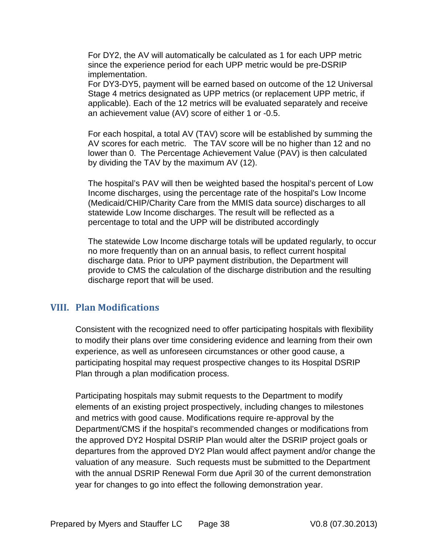For DY2, the AV will automatically be calculated as 1 for each UPP metric since the experience period for each UPP metric would be pre-DSRIP implementation.

For DY3-DY5, payment will be earned based on outcome of the 12 Universal Stage 4 metrics designated as UPP metrics (or replacement UPP metric, if applicable). Each of the 12 metrics will be evaluated separately and receive an achievement value (AV) score of either 1 or -0.5.

For each hospital, a total AV (TAV) score will be established by summing the AV scores for each metric. The TAV score will be no higher than 12 and no lower than 0. The Percentage Achievement Value (PAV) is then calculated by dividing the TAV by the maximum AV (12).

The hospital's PAV will then be weighted based the hospital's percent of Low Income discharges, using the percentage rate of the hospital's Low Income (Medicaid/CHIP/Charity Care from the MMIS data source) discharges to all statewide Low Income discharges. The result will be reflected as a percentage to total and the UPP will be distributed accordingly

The statewide Low Income discharge totals will be updated regularly, to occur no more frequently than on an annual basis, to reflect current hospital discharge data. Prior to UPP payment distribution, the Department will provide to CMS the calculation of the discharge distribution and the resulting discharge report that will be used.

## <span id="page-38-0"></span>**VIII. Plan Modifications**

Consistent with the recognized need to offer participating hospitals with flexibility to modify their plans over time considering evidence and learning from their own experience, as well as unforeseen circumstances or other good cause, a participating hospital may request prospective changes to its Hospital DSRIP Plan through a plan modification process.

Participating hospitals may submit requests to the Department to modify elements of an existing project prospectively, including changes to milestones and metrics with good cause. Modifications require re-approval by the Department/CMS if the hospital's recommended changes or modifications from the approved DY2 Hospital DSRIP Plan would alter the DSRIP project goals or departures from the approved DY2 Plan would affect payment and/or change the valuation of any measure. Such requests must be submitted to the Department with the annual DSRIP Renewal Form due April 30 of the current demonstration year for changes to go into effect the following demonstration year.